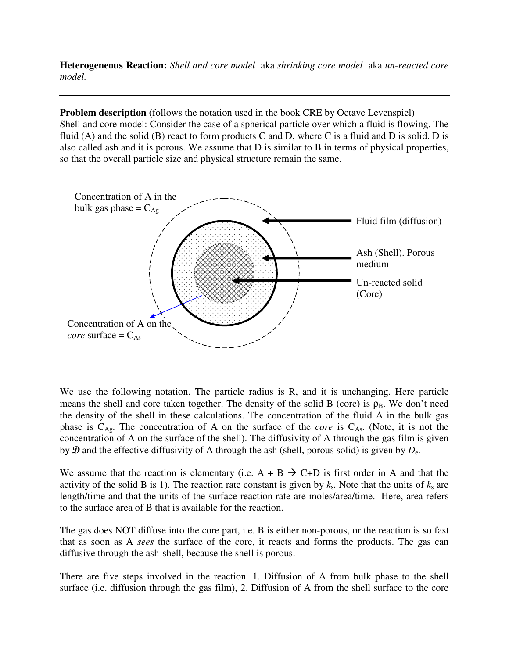**Heterogeneous Reaction:** *Shell and core model* aka *shrinking core model* aka *un-reacted core model.*

**Problem description** (follows the notation used in the book CRE by Octave Levenspiel) Shell and core model: Consider the case of a spherical particle over which a fluid is flowing. The fluid (A) and the solid (B) react to form products C and D, where C is a fluid and D is solid. D is also called ash and it is porous. We assume that D is similar to B in terms of physical properties, so that the overall particle size and physical structure remain the same.



We use the following notation. The particle radius is R, and it is unchanging. Here particle means the shell and core taken together. The density of the solid B (core) is  $\rho_B$ . We don't need the density of the shell in these calculations. The concentration of the fluid A in the bulk gas phase is  $C_{Ag}$ . The concentration of A on the surface of the *core* is  $C_{As}$ . (Note, it is not the concentration of A on the surface of the shell). The diffusivity of A through the gas film is given by  $\mathcal D$  and the effective diffusivity of A through the ash (shell, porous solid) is given by  $D_{\rm e}$ .

We assume that the reaction is elementary (i.e.  $A + B \rightarrow C+D$  is first order in A and that the activity of the solid B is 1). The reaction rate constant is given by  $k_s$ . Note that the units of  $k_s$  are length/time and that the units of the surface reaction rate are moles/area/time. Here, area refers to the surface area of B that is available for the reaction.

The gas does NOT diffuse into the core part, i.e. B is either non-porous, or the reaction is so fast that as soon as A *sees* the surface of the core, it reacts and forms the products. The gas can diffusive through the ash-shell, because the shell is porous.

There are five steps involved in the reaction. 1. Diffusion of A from bulk phase to the shell surface (i.e. diffusion through the gas film), 2. Diffusion of A from the shell surface to the core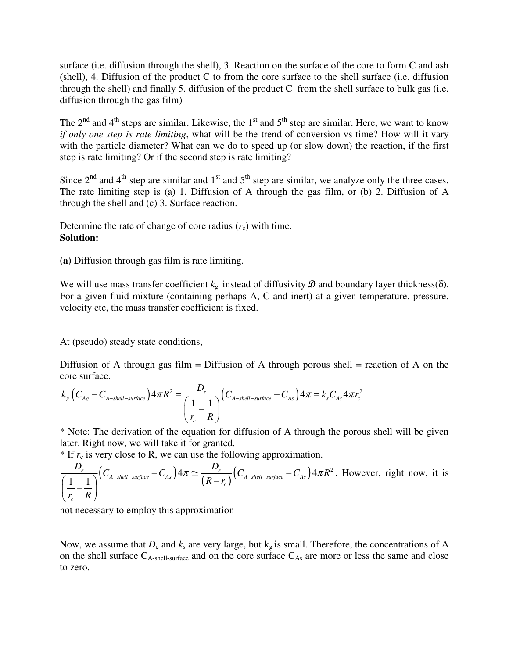surface (i.e. diffusion through the shell), 3. Reaction on the surface of the core to form C and ash (shell), 4. Diffusion of the product C to from the core surface to the shell surface (i.e. diffusion through the shell) and finally 5. diffusion of the product C from the shell surface to bulk gas (i.e. diffusion through the gas film)

The  $2<sup>nd</sup>$  and  $4<sup>th</sup>$  steps are similar. Likewise, the  $1<sup>st</sup>$  and  $5<sup>th</sup>$  step are similar. Here, we want to know *if only one step is rate limiting*, what will be the trend of conversion vs time? How will it vary with the particle diameter? What can we do to speed up (or slow down) the reaction, if the first step is rate limiting? Or if the second step is rate limiting?

Since  $2<sup>nd</sup>$  and  $4<sup>th</sup>$  step are similar and  $1<sup>st</sup>$  and  $5<sup>th</sup>$  step are similar, we analyze only the three cases. The rate limiting step is (a) 1. Diffusion of A through the gas film, or (b) 2. Diffusion of A through the shell and (c) 3. Surface reaction.

Determine the rate of change of core radius  $(r_c)$  with time. **Solution:**

**(a)** Diffusion through gas film is rate limiting.

We will use mass transfer coefficient  $k_g$  instead of diffusivity  $\mathbf{\mathcal{D}}$  and boundary layer thickness( $\delta$ ). For a given fluid mixture (containing perhaps A, C and inert) at a given temperature, pressure, velocity etc, the mass transfer coefficient is fixed.

At (pseudo) steady state conditions,

Diffusion of A through gas film = Diffusion of A through porous shell = reaction of A on the core surface.

$$
k_{g}\left(C_{Ag}-C_{A-shell-surface}\right)4\pi R^{2}=\frac{D_{e}}{\left(\frac{1}{r_{c}}-\frac{1}{R}\right)}\left(C_{A-shell-surface}-C_{As}\right)4\pi=k_{s}C_{As}4\pi r_{c}^{2}
$$

\* Note: The derivation of the equation for diffusion of A through the porous shell will be given later. Right now, we will take it for granted.

 $*$  If  $r_c$  is very close to R, we can use the following approximation.

$$
\frac{D_e}{\left(\frac{1}{r_c} - \frac{1}{R}\right)} \Big( C_{A-shell-surface} - C_{As} \Big) 4\pi \simeq \frac{D_e}{\left(R - r_c\right)} \Big( C_{A-shell-surface} - C_{As} \Big) 4\pi R^2.
$$
 However, right now, it is

not necessary to employ this approximation

Now, we assume that  $D_e$  and  $k_s$  are very large, but  $k_g$  is small. Therefore, the concentrations of A on the shell surface  $C_{A-shell-surface}$  and on the core surface  $C_{As}$  are more or less the same and close to zero.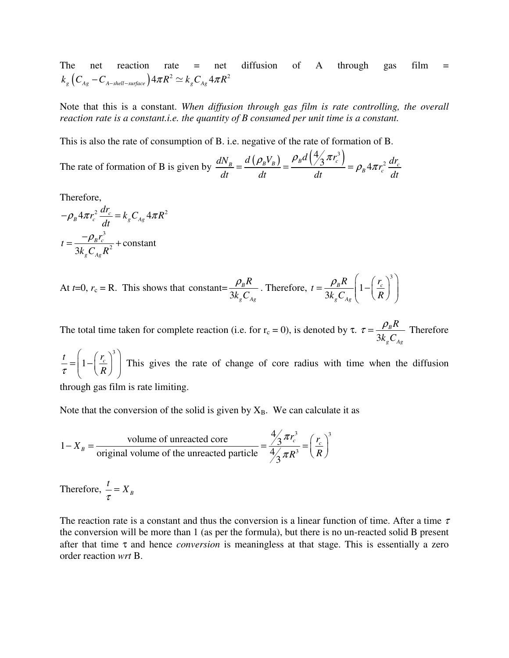The net reaction rate  $=$  net diffusion of A through gas film  $=$  $k_{_S} \big( C_{_{Ag}} - C_{_{A-shell-surface}} \big) 4 \pi R^{2} \simeq k_{_S} C_{_{Ag}} 4 \pi R^{2}$ 

Note that this is a constant. *When diffusion through gas film is rate controlling, the overall reaction rate is a constant.i.e. the quantity of B consumed per unit time is a constant.* 

This is also the rate of consumption of B. i.e. negative of the rate of formation of B.

The rate of formation of B is given by  $\frac{dN_B}{dS} = \frac{d(\rho_B V_B)}{dS} = \frac{\rho_B d(\frac{4}{3} \pi r_c^3)}{dS}$ 2 4  $\frac{B}{B} = \frac{d\left(\rho_B V_B\right)}{dt} = \frac{\rho_B a\left(\frac{1}{2} \pi r_c\right)}{dt} = \rho_B 4\pi r_c^2 \frac{dr_c}{dt}$  $\frac{dN_B}{dt} = \frac{d\left(\rho_B V_B\right)}{d\Omega} = \frac{\rho_B d\left(\frac{4}{3} \pi r_c^3\right)}{d\Omega} = \rho_B 4 \pi r_c^2 \frac{dr_c^3}{d\Omega}$ *dt dt dt dt*  $\rho_{\scriptscriptstyle B} V_{\scriptscriptstyle B}$ )  $\rho_{\scriptscriptstyle B} d \left(\frac{4}{3}\pi\right)$  $=\frac{(\mu_{B} \cdot B)}{1}=\frac{\mu_{B} \cdot \mu_{B}}{1}=\frac{\mu_{B} \cdot \mu_{B}}{1}=\rho_{B} 4\pi$ 

Therefore,

$$
-\rho_B 4\pi r_c^2 \frac{dr_c}{dt} = k_g C_{Ag} 4\pi R^2
$$

$$
t = \frac{-\rho_B r_c^3}{3k_g C_{Ag} R^2} + \text{constant}
$$

At 
$$
t=0
$$
,  $r_c = R$ . This shows that constant= $\frac{\rho_B R}{3k_g C_{Ag}}$ . Therefore,  $t = \frac{\rho_B R}{3k_g C_{Ag}} \left(1 - \left(\frac{r_c}{R}\right)^3\right)$ 

The total time taken for complete reaction (i.e. for  $r_c = 0$ ), is denoted by  $\tau$ . 3 *B*  $g \sim$ Ag *R k C*  $\tau = \frac{\rho_B R}{2L G}$  Therefore

3  $\frac{t}{r} = \frac{r_c}{1 - \frac{r_c}{r_c}}$ <sup>τ</sup> *R*  $\binom{r}{1}$  $= \left(1 - \left(\frac{r_c}{R}\right)\right)$  This gives the rate of change of core radius with time when the diffusion

through gas film is rate limiting.

Note that the conversion of the solid is given by  $X_B$ . We can calculate it as

$$
1 - X_B = \frac{\text{volume of unreacted core}}{\text{original volume of the unreacted particle}} = \frac{\frac{4}{3}\pi r_c^3}{\frac{4}{3}\pi R^3} = \left(\frac{r_c}{R}\right)^3
$$

Therefore,  $\frac{t}{\tau} = X_B$ 

The reaction rate is a constant and thus the conversion is a linear function of time. After a time  $\tau$ the conversion will be more than 1 (as per the formula), but there is no un-reacted solid B present after that time τ and hence *conversion* is meaningless at that stage. This is essentially a zero order reaction *wrt* B.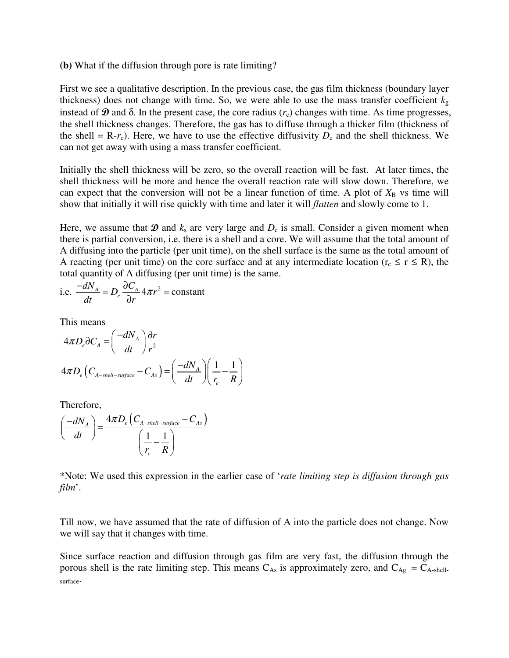#### **(b)** What if the diffusion through pore is rate limiting?

First we see a qualitative description. In the previous case, the gas film thickness (boundary layer thickness) does not change with time. So, we were able to use the mass transfer coefficient  $k_{\rm g}$ instead of  $\mathcal D$  and  $\delta$ . In the present case, the core radius  $(r_c)$  changes with time. As time progresses, the shell thickness changes. Therefore, the gas has to diffuse through a thicker film (thickness of the shell = R- $r_c$ ). Here, we have to use the effective diffusivity  $D_e$  and the shell thickness. We can not get away with using a mass transfer coefficient.

Initially the shell thickness will be zero, so the overall reaction will be fast. At later times, the shell thickness will be more and hence the overall reaction rate will slow down. Therefore, we can expect that the conversion will not be a linear function of time. A plot of  $X_B$  vs time will show that initially it will rise quickly with time and later it will *flatten* and slowly come to 1.

Here, we assume that  $\mathbf{\mathcal{D}}$  and  $k_s$  are very large and  $D_e$  is small. Consider a given moment when there is partial conversion, i.e. there is a shell and a core. We will assume that the total amount of A diffusing into the particle (per unit time), on the shell surface is the same as the total amount of A reacting (per unit time) on the core surface and at any intermediate location ( $r_c \le r \le R$ ), the total quantity of A diffusing (per unit time) is the same.

i.e. 
$$
\frac{-dN_A}{dt} = D_e \frac{\partial C_A}{\partial r} 4\pi r^2 = \text{constant}
$$

This means

$$
4\pi D_e \partial C_A = \left(\frac{-dN_A}{dt}\right) \frac{\partial r}{r^2}
$$
  

$$
4\pi D_e \left(C_{A-shell-surface} - C_{As}\right) = \left(\frac{-dN_A}{dt}\right) \left(\frac{1}{r_c} - \frac{1}{R}\right)
$$

Therefore,

$$
\left(\frac{-dN_A}{dt}\right) = \frac{4\pi D_e \left(C_{A-shell-surface} - C_{As}\right)}{\left(\frac{1}{r_c} - \frac{1}{R}\right)}
$$

\*Note: We used this expression in the earlier case of '*rate limiting step is diffusion through gas film*'.

Till now, we have assumed that the rate of diffusion of A into the particle does not change. Now we will say that it changes with time.

Since surface reaction and diffusion through gas film are very fast, the diffusion through the porous shell is the rate limiting step. This means  $C_{As}$  is approximately zero, and  $C_{Ag} = C_{A-shell}$ surface.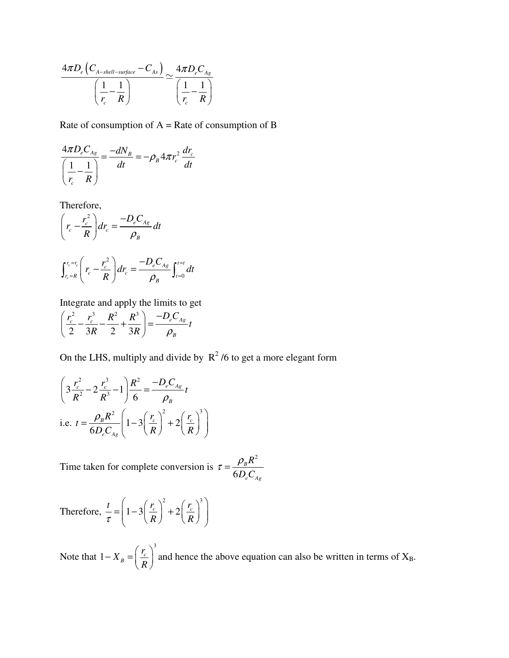$$
\frac{4\pi D_e \left(C_{A-shell-surface} - C_{As}\right)}{\left(\frac{1}{r_c} - \frac{1}{R}\right)} \simeq \frac{4\pi D_e C_{Ag}}{\left(\frac{1}{r_c} - \frac{1}{R}\right)}
$$

Rate of consumption of  $A = Rate$  of consumption of B

$$
\frac{4\pi D_e C_{As}}{\left(\frac{1}{r_c} - \frac{1}{R}\right)} = \frac{-dN_B}{dt} = -\rho_B 4\pi r_c^2 \frac{dr_c}{dt}
$$

Therefore,

$$
\left(r_c - \frac{r_c^2}{R}\right)dr_c = \frac{-D_e C_{Ag}}{\rho_B}dt
$$
\n
$$
\int_{r_c=R}^{r_c=r_c} \left(r_c - \frac{r_c^2}{R}\right)dr_c = \frac{-D_e C_{Ag}}{\rho_B} \int_{t=0}^{t=t} dt
$$

Integrate and apply the limits to get

$$
\left(\frac{r_c^2}{2} - \frac{r_c^3}{3R} - \frac{R^2}{2} + \frac{R^3}{3R}\right) = \frac{-D_e C_{Ag}}{\rho_B} t
$$

On the LHS, multiply and divide by  $R^2/6$  to get a more elegant form

$$
\left(3\frac{r_c^2}{R^2} - 2\frac{r_c^3}{R^3} - 1\right)\frac{R^2}{6} = \frac{-D_e C_{Ag}}{\rho_B}t
$$
  
i.e.  $t = \frac{\rho_B R^2}{6D_e C_{Ag}} \left(1 - 3\left(\frac{r_c}{R}\right)^2 + 2\left(\frac{r_c}{R}\right)^3\right)$ 

Time taken for complete conversion is 2 6 *B*  $e - Ag$ *R D C*  $\tau = \frac{\rho}{\sqrt{2\pi}}$ 

Therefore, 
$$
\frac{t}{\tau} = \left(1 - 3\left(\frac{r_c}{R}\right)^2 + 2\left(\frac{r_c}{R}\right)^3\right)
$$

Note that 3  $1-X_B = \frac{r_c}{B}$  $X_{R} = \frac{r_a}{r_a}$ *R*  $(r_c)$  $-X_B = \left(\frac{c}{R}\right)$  and hence the above equation can also be written in terms of  $X_B$ .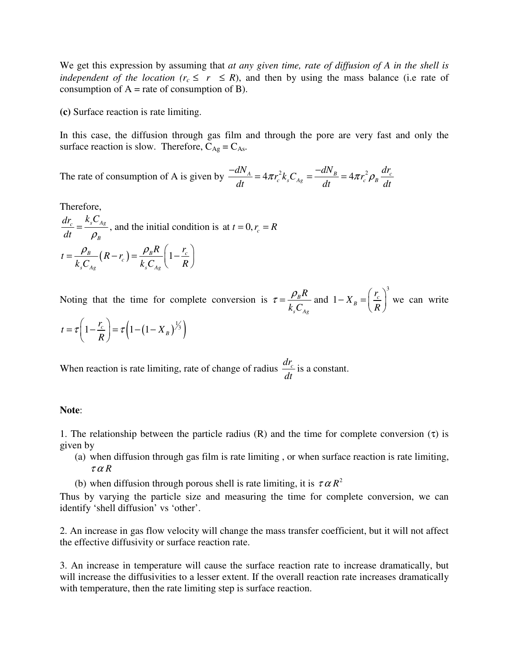We get this expression by assuming that *at any given time, rate of diffusion of A in the shell is independent of the location* ( $r_c \leq r \leq R$ ), and then by using the mass balance (i.e rate of consumption of  $A$  = rate of consumption of B).

**(c)** Surface reaction is rate limiting.

In this case, the diffusion through gas film and through the pore are very fast and only the surface reaction is slow. Therefore,  $C_{\text{Ag}} = C_{\text{As}}$ .

The rate of consumption of A is given by  $\frac{-dN_A}{dt} = 4\pi r_c^2 k_s C_{Ag} = \frac{-dN_B}{dt} = 4\pi r_c^2 \rho_B \frac{dr_c}{dt}$ *dt dt dt*  $\frac{-dN_A}{dt} = 4\pi r_c^2 k_s C_{A} = \frac{-dN_B}{dt} = 4\pi r_c^2 \rho$ 

Therefore,

 $\frac{c}{c}$   $\frac{R_s C_{Ag}}{a}$ *B*  $dr_c$   $k_sC$ *dt* ρ  $=\frac{r_s - A_g}{2}$ , and the initial condition is at  $t = 0, r_c = R$  $\frac{B}{r} - (R - r_c) = \frac{P_B R}{L} \left(1 - \frac{r_c}{R}\right)$  $s \sim_{Ag}$   $\sim_{s \sim_{Ag}}$  $t = \frac{\rho_B}{I_0} (R - r_c) = \frac{\rho_B R}{I_0} \left(1 - \frac{r_c}{I_0}\right)$  $k_{s}C_{Ag}$   $k_{s}C_{Ag}$   $R$  $\rho_{B}$  ( $p \rightarrow \rho_{B} R$  ( $r_{c}$ )  $=\frac{P_B}{k_s C_{Ag}}(R-r_c)=\frac{P_B T}{k_s C_{Ag}}\left(1-\frac{r_c}{R}\right)$ 

Noting that the time for complete conversion is  $\tau = \frac{P_B}{I}$  $s \sim$  *Ag R k C*  $\tau = \frac{\rho_B R}{L}$  and 3  $1-X_B = \frac{I_c}{B}$  $X_{R} = \frac{r_a}{r_a}$ *R*  $(r_c)^2$  $-X_B = \left(\frac{r_c}{R}\right)$  we can write

$$
t = \tau \left(1 - \frac{r_c}{R}\right) = \tau \left(1 - \left(1 - X_B\right)^{1/3}\right)
$$

When reaction is rate limiting, rate of change of radius  $\frac{dr_c}{dr}$ *dt* is a constant.

## **Note**:

1. The relationship between the particle radius (R) and the time for complete conversion  $(τ)$  is given by

- (a) when diffusion through gas film is rate limiting , or when surface reaction is rate limiting,  $\tau \alpha R$
- (b) when diffusion through porous shell is rate limiting, it is  $\tau \alpha R^2$

Thus by varying the particle size and measuring the time for complete conversion, we can identify 'shell diffusion' vs 'other'.

2. An increase in gas flow velocity will change the mass transfer coefficient, but it will not affect the effective diffusivity or surface reaction rate.

3. An increase in temperature will cause the surface reaction rate to increase dramatically, but will increase the diffusivities to a lesser extent. If the overall reaction rate increases dramatically with temperature, then the rate limiting step is surface reaction.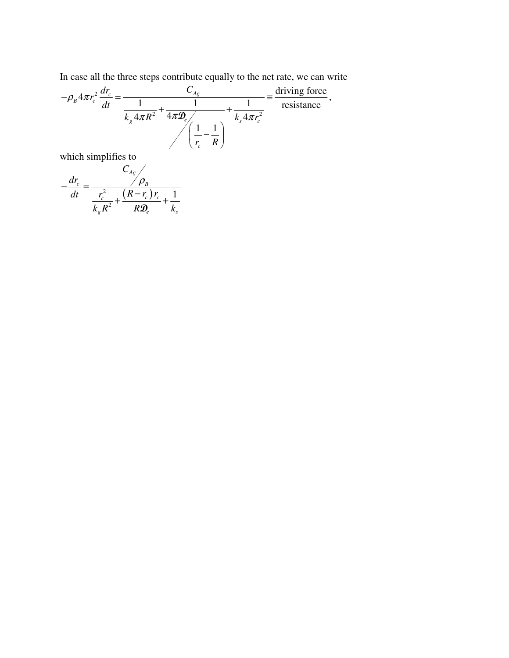In case all the three steps contribute equally to the net rate, we can write

$$
-\rho_B 4\pi r_c^2 \frac{dr_c}{dt} = \frac{C_{Ag}}{\frac{1}{k_g 4\pi R^2} + \frac{1}{4\pi \mathcal{D}_e} + \frac{1}{k_s 4\pi r_c^2}} = \frac{\text{driving force}}{\text{resistance}},
$$

which simplifies to

$$
-\frac{dr_c}{dt} = \frac{C_{Ag}}{\frac{r_c^2}{k_g R^2} + \frac{(R - r_c)r_c}{R\mathcal{D}_e} + \frac{1}{k_s}}
$$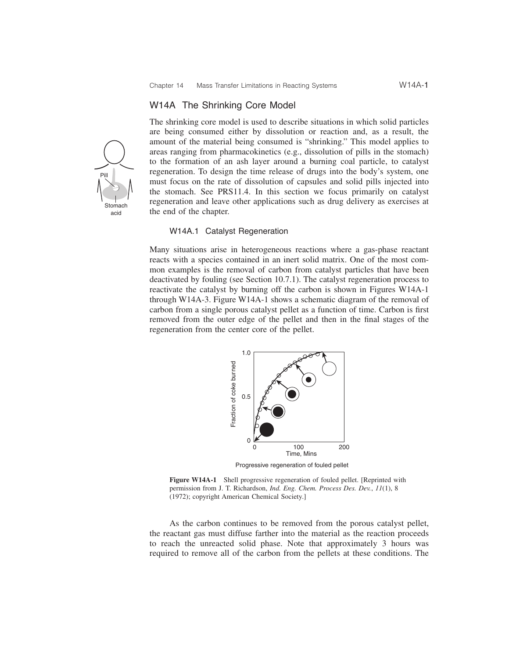#### W14A The Shrinking Core Model

Pill Stomach acid

The shrinking core model is used to describe situations in which solid particles are being consumed either by dissolution or reaction and, as a result, the amount of the material being consumed is "shrinking." This model applies to areas ranging from pharmacokinetics (e.g., dissolution of pills in the stomach) to the formation of an ash layer around a burning coal particle, to catalyst regeneration. To design the time release of drugs into the body's system, one must focus on the rate of dissolution of capsules and solid pills injected into the stomach. See PRS11.4. In this section we focus primarily on catalyst regeneration and leave other applications such as drug delivery as exercises at the end of the chapter.

#### W14A.1 Catalyst Regeneration

Many situations arise in heterogeneous reactions where a gas-phase reactant reacts with a species contained in an inert solid matrix. One of the most common examples is the removal of carbon from catalyst particles that have been deactivated by fouling (see Section 10.7.1). The catalyst regeneration process to reactivate the catalyst by burning off the carbon is shown in Figures W14A-1 through W14A-3. Figure W14A-1 shows a schematic diagram of the removal of carbon from a single porous catalyst pellet as a function of time. Carbon is first removed from the outer edge of the pellet and then in the final stages of the regeneration from the center core of the pellet.



Progressive regeneration of fouled pellet

**Figure W14A-1** Shell progressive regeneration of fouled pellet. [Reprinted with permission from J. T. Richardson, *Ind. Eng. Chem. Process Des. Dev.*, *11*(1), 8 (1972); copyright American Chemical Society.]

As the carbon continues to be removed from the porous catalyst pellet, the reactant gas must diffuse farther into the material as the reaction proceeds to reach the unreacted solid phase. Note that approximately 3 hours was required to remove all of the carbon from the pellets at these conditions. The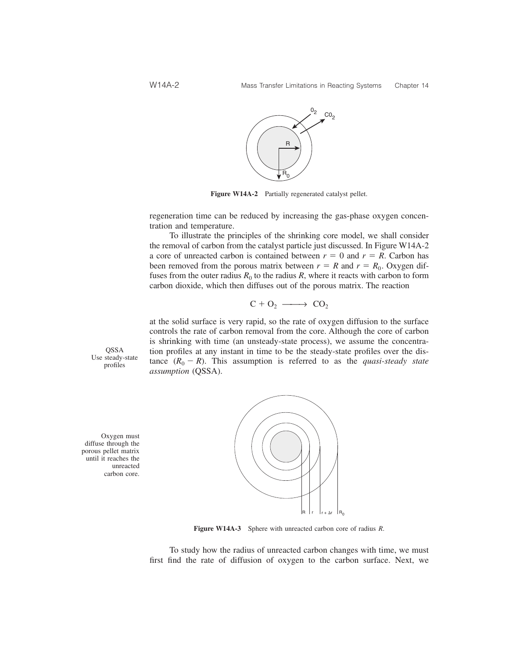

**Figure W14A-2** Partially regenerated catalyst pellet.

regeneration time can be reduced by increasing the gas-phase oxygen concentration and temperature.

To illustrate the principles of the shrinking core model, we shall consider the removal of carbon from the catalyst particle just discussed. In Figure W14A-2 a core of unreacted carbon is contained between  $r = 0$  and  $r = R$ . Carbon has been removed from the porous matrix between  $r = R$  and  $r = R_0$ . Oxygen diffuses from the outer radius  $R_0$  to the radius  $R$ , where it reacts with carbon to form carbon dioxide, which then diffuses out of the porous matrix. The reaction

$$
C + O_2 \longrightarrow CO_2
$$

at the solid surface is very rapid, so the rate of oxygen diffusion to the surface controls the rate of carbon removal from the core. Although the core of carbon is shrinking with time (an unsteady-state process), we assume the concentration profiles at any instant in time to be the steady-state profiles over the distance  $(R_0 - R)$ . This assumption is referred to as the *quasi-steady state assumption* (QSSA).

QSSA Use steady-state profiles

Oxygen must diffuse through the porous pellet matrix until it reaches the unreacted carbon core.



**Figure W14A-3** Sphere with unreacted carbon core of radius *R*.

To study how the radius of unreacted carbon changes with time, we must first find the rate of diffusion of oxygen to the carbon surface. Next, we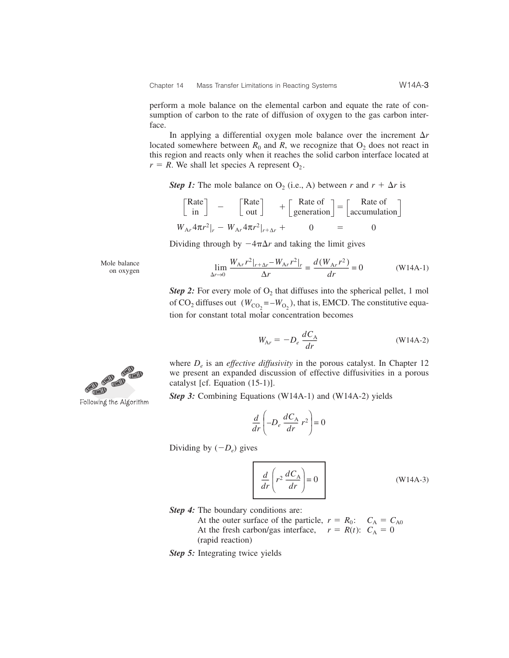perform a mole balance on the elemental carbon and equate the rate of consumption of carbon to the rate of diffusion of oxygen to the gas carbon interface.

In applying a differential oxygen mole balance over the increment  $\Delta r$ located somewhere between  $R_0$  and  $R$ , we recognize that  $O_2$  does not react in this region and reacts only when it reaches the solid carbon interface located at  $r = R$ . We shall let species A represent  $O_2$ .

*Step 1:* The mole balance on  $O_2$  (i.e., A) between *r* and  $r + \Delta r$  is

$$
\begin{bmatrix} \text{Rate} \\ \text{in} \end{bmatrix} - \begin{bmatrix} \text{Rate} \\ \text{out} \end{bmatrix} + \begin{bmatrix} \text{Rate of} \\ \text{generation} \end{bmatrix} = \begin{bmatrix} \text{Rate of} \\ \text{accumulation} \end{bmatrix}
$$
  

$$
W_{Ar} 4\pi r^2|_r - W_{Ar} 4\pi r^2|_{r+\Delta r} + 0 = 0
$$

Dividing through by  $-4\pi\Delta r$  and taking the limit gives

Mole balance

\n The balance\n 
$$
\lim_{\Delta r \to 0} \frac{W_{\text{Ar}} r^2|_{r+\Delta r} - W_{\text{Ar}} r^2|_{r}}{\Delta r} = \frac{d(W_{\text{Ar}} r^2)}{dr} = 0
$$
\n*(W14A-1)*\n

*Step 2:* For every mole of  $O_2$  that diffuses into the spherical pellet, 1 mol of  $CO_2$  diffuses out  $(W_{CO_2} = -W_{O_2})$ , that is, EMCD. The constitutive equation for constant total molar concentration becomes

$$
W_{Ar} = -D_e \frac{dC_A}{dr}
$$
 (W14A-2)

where  $D_e$  is an *effective diffusivity* in the porous catalyst. In Chapter 12 we present an expanded discussion of effective diffusivities in a porous catalyst [cf. Equation (15-1)].

*Step 3:* Combining Equations (W14A-1) and (W14A-2) yields

$$
\frac{d}{dr}\left(-D_e \frac{dC_A}{dr} r^2\right) = 0
$$

Dividing by  $(-D_e)$  gives

$$
\frac{d}{dr}\left(r^2\,\frac{dC_A}{dr}\right) = 0\tag{W14A-3}
$$

*Step 4:* The boundary conditions are:

- At the outer surface of the particle,  $r = R_0$ :  $C_A = C_{A0}$ At the fresh carbon/gas interface,  $r = R(t)$ :  $C_A = 0$ (rapid reaction)
- *Step 5:* Integrating twice yields



Following the Algorithm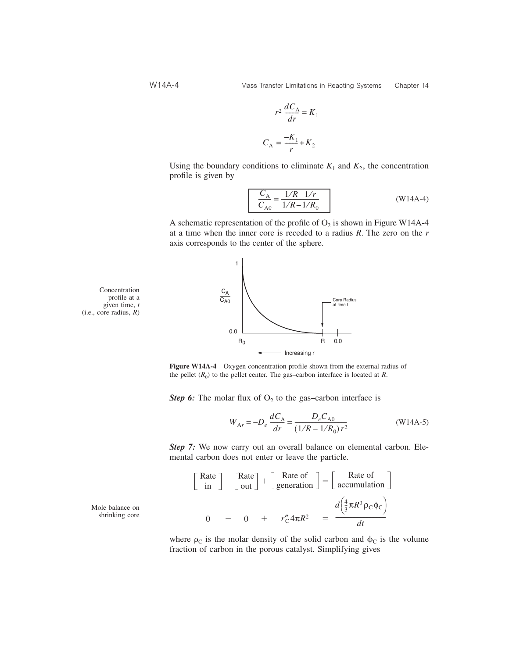$$
r^2 \frac{dC_A}{dr} = K_1
$$

$$
C_A = \frac{-K_1}{r} + K_2
$$

Using the boundary conditions to eliminate  $K_1$  and  $K_2$ , the concentration profile is given by

$$
\frac{C_{\rm A}}{C_{\rm A0}} = \frac{1/R - 1/r}{1/R - 1/R_0}
$$
 (W14A-4)

A schematic representation of the profile of  $O_2$  is shown in Figure W14A-4 at a time when the inner core is receded to a radius *R*. The zero on the *r* axis corresponds to the center of the sphere.



Concentration profile at a given time, *t* (i.e., core radius, *R*)

**Figure W14A-4** Oxygen concentration profile shown from the external radius of the pellet  $(R_0)$  to the pellet center. The gas–carbon interface is located at *R*.

*Step 6:* The molar flux of  $O_2$  to the gas–carbon interface is

$$
W_{Ar} = -D_e \frac{dC_A}{dr} = \frac{-D_e C_{A0}}{(1/R - 1/R_0)r^2}
$$
 (W14A-5)

*Step 7:* We now carry out an overall balance on elemental carbon. Elemental carbon does not enter or leave the particle.

$$
\begin{bmatrix} \text{Rate} \\ \text{in} \end{bmatrix} - \begin{bmatrix} \text{Rate} \\ \text{out} \end{bmatrix} + \begin{bmatrix} \text{Rate of} \\ \text{generation} \end{bmatrix} = \begin{bmatrix} \text{Rate of} \\ \text{accumulation} \end{bmatrix}
$$
  
0 - 0 +  $r''_{C} 4\pi R^{2} = \frac{d(\frac{4}{3}\pi R^{3} \rho_{C} \phi_{C})}{dt}$ 

where  $\rho_c$  is the molar density of the solid carbon and  $\phi_c$  is the volume fraction of carbon in the porous catalyst. Simplifying gives

Mole balance on shrinking core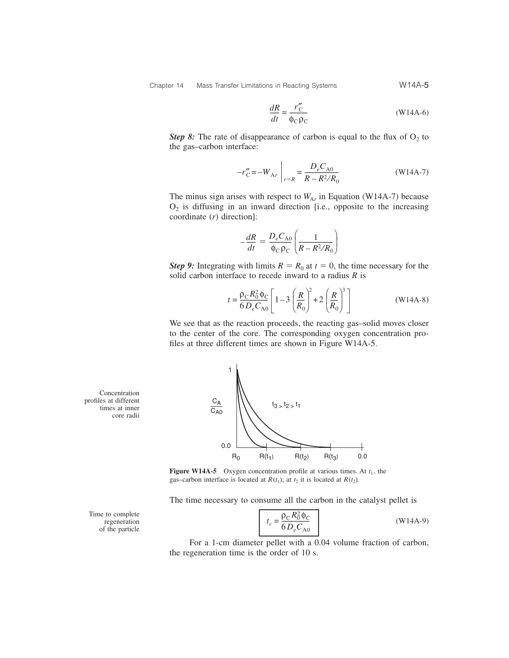$$
\frac{dR}{dt} = \frac{r''_C}{\phi_C \rho_C} \tag{W14A-6}
$$

*Step 8:* The rate of disappearance of carbon is equal to the flux of  $O_2$  to the gas–carbon interface:

$$
-r''_{\rm C} = -W_{\rm Ar} \bigg|_{r=R} = \frac{D_e C_{\rm A0}}{R - R^2/R_0} \tag{W14A-7}
$$

The minus sign arises with respect to  $W_{Ar}$  in Equation (W14A-7) because  $O<sub>2</sub>$  is diffusing in an inward direction [i.e., opposite to the increasing coordinate (*r*) direction]:

$$
-\frac{dR}{dt} = \frac{D_e C_{\text{A0}}}{\phi_{\text{C}} \rho_{\text{C}}} \left( \frac{1}{R - R^2 / R_0} \right)
$$

*Step 9*: Integrating with limits  $R = R_0$  at  $t = 0$ , the time necessary for the solid carbon interface to recede inward to a radius *R* is

$$
t = \frac{\rho_{\rm C} R_0^2 \Phi_{\rm C}}{6 D_e C_{\rm A0}} \left[ 1 - 3 \left( \frac{R}{R_0} \right)^2 + 2 \left( \frac{R}{R_0} \right)^3 \right]
$$
(W14A-8)

We see that as the reaction proceeds, the reacting gas–solid moves closer to the center of the core. The corresponding oxygen concentration profiles at three different times are shown in Figure W14A-5.



The time necessary to consume all the carbon in the catalyst pellet is

$$
t_c = \frac{\rho_C R_0^2 \Phi_C}{6 D_e C_{A0}}
$$
 (W14A-9)

For a 1-cm diameter pellet with a 0.04 volume fraction of carbon, the regeneration time is the order of 10 s.

Concentration profiles at different times at inner core radii



Time to complete regeneration of the particle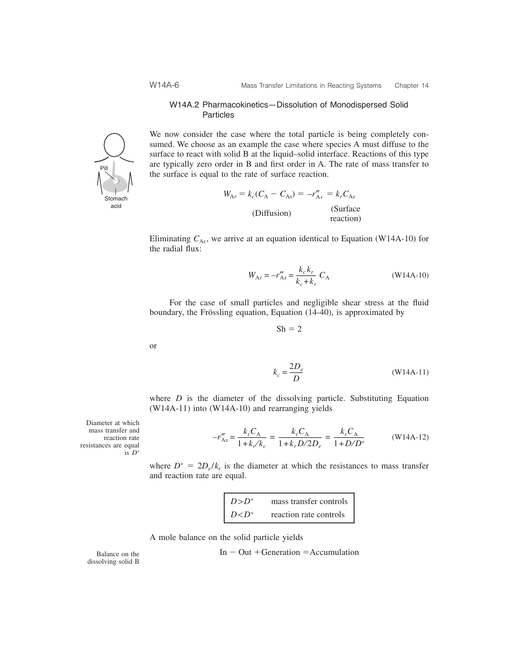#### W14A.2 Pharmacokinetics—Dissolution of Monodispersed Solid Particles

We now consider the case where the total particle is being completely consumed. We choose as an example the case where species A must diffuse to the surface to react with solid B at the liquid–solid interface. Reactions of this type are typically zero order in B and first order in A. The rate of mass transfer to the surface is equal to the rate of surface reaction.

$$
W_{Ar} = k_c(C_A - C_{As}) = -r''_{As} = k_r C_{As}
$$
  
(Diffusion) (Surface reaction)

Eliminating  $C_{A_5}$ , we arrive at an equation identical to Equation (W14A-10) for the radial flux:

$$
W_{Ar} = -r_{As}'' = \frac{k_c k_r}{k_c + k_r} C_A
$$
 (W14A-10)

For the case of small particles and negligible shear stress at the fluid boundary, the Frössling equation, Equation (14-40), is approximated by

 $Sh = 2$ 

$$
k_c = \frac{2D_e}{D}
$$
 (W14A-11)

where  $D$  is the diameter of the dissolving particle. Substituting Equation (W14A-11) into (W14A-10) and rearranging yields

$$
-r''_{As} = \frac{k_r C_A}{1 + k_r / k_c} = \frac{k_r C_A}{1 + k_r D / 2D_e} = \frac{k_r C_A}{1 + D / D^*}
$$
 (W14A-12)

where  $D^* = 2D_e/k_r$  is the diameter at which the resistances to mass transfer and reaction rate are equal.

> $D > D^*$  mass transfer controls  $D < D^*$  reaction rate controls

A mole balance on the solid particle yields

$$
In - Out + Generation = Accumulation
$$

Balance on the dissolving solid B

Diameter at which mass transfer and reaction rate resistances are equal is 
$$
D^*
$$



or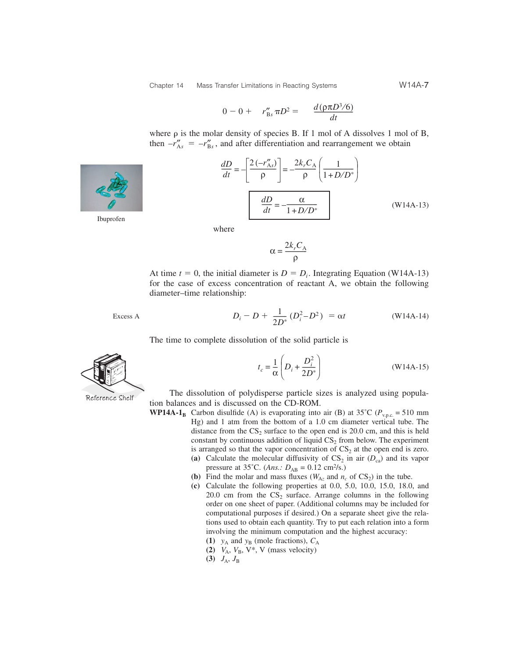$$
0 - 0 + r''_{\text{Bs}} \pi D^2 = \frac{d(\rho \pi D^3/6)}{dt}
$$

where  $\rho$  is the molar density of species B. If 1 mol of A dissolves 1 mol of B, then  $-r''_{As} = -r''_{Bs}$ , and after differentiation and rearrangement we obtain

$$
\frac{dD}{dt} = -\left[\frac{2(-r_{As}^{\prime\prime})}{\rho}\right] = -\frac{2k_rC_A}{\rho}\left(\frac{1}{1+D/D^*}\right)
$$
\n
$$
\frac{dD}{dt} = -\frac{\alpha}{1+D/D^*}
$$
\n(W14A-13)

where

$$
\alpha = \frac{2k_r C_A}{\rho}
$$

At time  $t = 0$ , the initial diameter is  $D = D_i$ . Integrating Equation (W14A-13) for the case of excess concentration of reactant A, we obtain the following diameter–time relationship:

Excess A 
$$
D_i - D + \frac{1}{2D^*} (D_i^2 - D^2) = \alpha t
$$
 (W14A-14)

The time to complete dissolution of the solid particle is

$$
t_c = \frac{1}{\alpha} \left( D_i + \frac{D_i^2}{2D^*} \right) \tag{W14A-15}
$$

The dissolution of polydisperse particle sizes is analyzed using population balances and is discussed on the CD-ROM.

- **WP14A-1<sub>B</sub>** Carbon disulfide (A) is evaporating into air (B) at 35°C ( $P_{v.p.c.}$  = 510 mm Hg) and 1 atm from the bottom of a 1.0 cm diameter vertical tube. The distance from the  $CS_2$  surface to the open end is 20.0 cm, and this is held constant by continuous addition of liquid  $CS_2$  from below. The experiment is arranged so that the vapor concentration of  $CS_2$  at the open end is zero.
	- (a) Calculate the molecular diffusivity of  $CS_2$  in air  $(D_{ca})$  and its vapor pressure at 35°C. (*Ans.:*  $D_{AB} = 0.12 \text{ cm}^2/\text{s}$ .)
	- **(b)** Find the molar and mass fluxes ( $W_{Az}$  and  $n_c$  of  $CS_2$ ) in the tube.
	- **(c)** Calculate the following properties at 0.0, 5.0, 10.0, 15.0, 18.0, and 20.0 cm from the  $CS_2$  surface. Arrange columns in the following order on one sheet of paper. (Additional columns may be included for computational purposes if desired.) On a separate sheet give the relations used to obtain each quantity. Try to put each relation into a form involving the minimum computation and the highest accuracy:
		- **(1)**  $y_A$  and  $y_B$  (mole fractions),  $C_A$
		- (2)  $V_A$ ,  $V_B$ ,  $V^*$ , V (mass velocity)
		- **(3)**  $J_A$ ,  $J_B$







Ibuprofen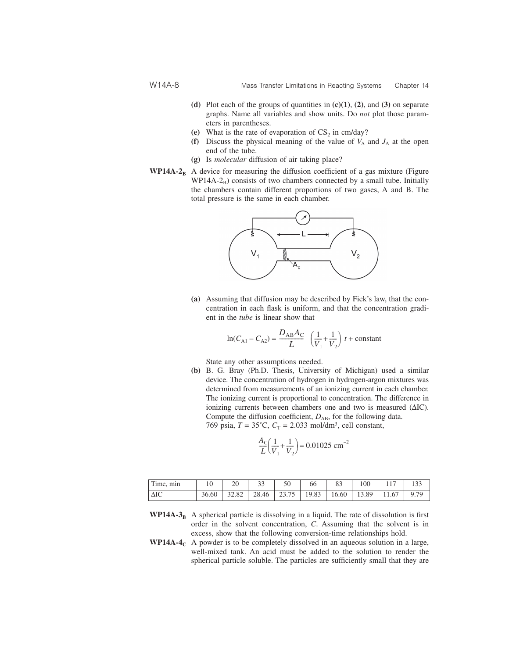- **(d)** Plot each of the groups of quantities in **(c)(1)**, **(2)**, and **(3)** on separate graphs. Name all variables and show units. Do *not* plot those parameters in parentheses.
- (e) What is the rate of evaporation of  $CS_2$  in cm/day?
- **(f)** Discuss the physical meaning of the value of  $V_A$  and  $J_A$  at the open end of the tube.
- **(g)** Is *molecular* diffusion of air taking place?
- **WP14A-2<sub>B</sub>** A device for measuring the diffusion coefficient of a gas mixture (Figure  $WP14A-2_B$ ) consists of two chambers connected by a small tube. Initially the chambers contain different proportions of two gases, A and B. The total pressure is the same in each chamber.



**(a)** Assuming that diffusion may be described by Fick's law, that the concentration in each flask is uniform, and that the concentration gradient in the *tube* is linear show that

$$
\ln(C_{\text{Al}} - C_{\text{A2}}) = \frac{D_{\text{AB}}A_{\text{C}}}{L} \left(\frac{1}{V_1} + \frac{1}{V_2}\right) t + \text{constant}
$$

State any other assumptions needed.

**(b)** B. G. Bray (Ph.D. Thesis, University of Michigan) used a similar device. The concentration of hydrogen in hydrogen-argon mixtures was determined from measurements of an ionizing current in each chamber. The ionizing current is proportional to concentration. The difference in ionizing currents between chambers one and two is measured (ΔIC). Compute the diffusion coefficient,  $D_{AB}$ , for the following data. 769 psia,  $T = 35^{\circ}$ C,  $C_T = 2.033$  mol/dm<sup>3</sup>, cell constant,

$$
\frac{A_C}{L} \left( \frac{1}{V_1} + \frac{1}{V_2} \right) = 0.01025 \text{ cm}^{-2}
$$

| Time, min   |       |       |             | 66    |       | 100   |       |      |
|-------------|-------|-------|-------------|-------|-------|-------|-------|------|
| $\Delta$ IC | 36.60 | 32.82 | 28.46 23.75 | 19.83 | 16.60 | 13.89 | 11.67 | 9.79 |

- **WP14A-3<sub>B</sub>** A spherical particle is dissolving in a liquid. The rate of dissolution is first order in the solvent concentration, *C*. Assuming that the solvent is in excess, show that the following conversion-time relationships hold.
- **WP14A-4<sub>C</sub>** A powder is to be completely dissolved in an aqueous solution in a large, well-mixed tank. An acid must be added to the solution to render the spherical particle soluble. The particles are sufficiently small that they are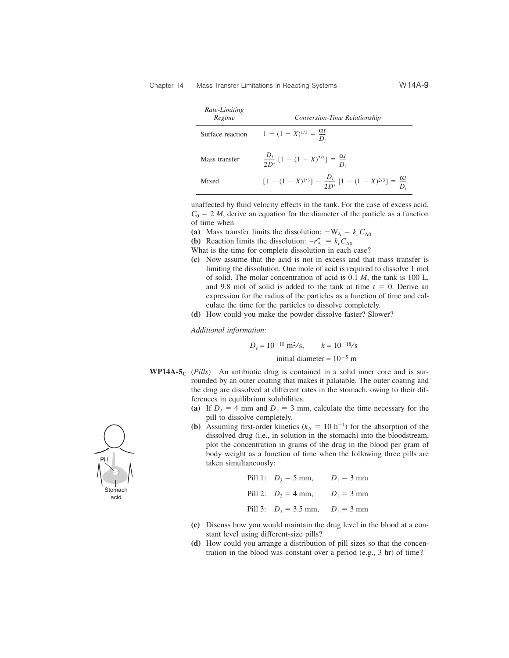| Rate-Limiting<br>Regime | Conversion-Time Relationship                                                        |  |
|-------------------------|-------------------------------------------------------------------------------------|--|
| Surface reaction        | $1 - (1 - X)^{1/3} = \frac{\alpha l}{D}$                                            |  |
| Mass transfer           | $\frac{D_i}{2D^*} [1 - (1 - X)^{2/3}] = \frac{\alpha t}{D}$                         |  |
| Mixed                   | $[1 - (1 - X)^{1/3}] + \frac{D_i}{2D^*} [1 - (1 - X)^{2/3}] = \frac{\alpha t}{D_i}$ |  |

unaffected by fluid velocity effects in the tank. For the case of excess acid,  $C_0 = 2 M$ , derive an equation for the diameter of the particle as a function of time when

- (a) Mass transfer limits the dissolution:  $-W_A = k_c C_{A0}$
- **(b)** Reaction limits the dissolution:  $-r''_A = k_r C_{A0}$
- What is the time for complete dissolution in each case?
- **(c)** Now assume that the acid is not in excess and that mass transfer is limiting the dissolution. One mole of acid is required to dissolve 1 mol of solid. The molar concentration of acid is 0.1 *M*, the tank is 100 L, and 9.8 mol of solid is added to the tank at time  $t = 0$ . Derive an expression for the radius of the particles as a function of time and calculate the time for the particles to dissolve completely.
- **(d)** How could you make the powder dissolve faster? Slower?

*Additional information:*

 $D_e = 10^{-10}$  m<sup>2</sup>/s,  $k = 10^{-18}$ /s

initial diameter =  $10^{-5}$  m

- **WP14A-5<sub>C</sub>** (*Pills*) An antibiotic drug is contained in a solid inner core and is surrounded by an outer coating that makes it palatable. The outer coating and the drug are dissolved at different rates in the stomach, owing to their differences in equilibrium solubilities.
	- (a) If  $D_2 = 4$  mm and  $D_1 = 3$  mm, calculate the time necessary for the pill to dissolve completely.
	- **(b)** Assuming first-order kinetics  $(k_A = 10 \text{ h}^{-1})$  for the absorption of the dissolved drug (i.e., in solution in the stomach) into the bloodstream, plot the concentration in grams of the drug in the blood per gram of body weight as a function of time when the following three pills are taken simultaneously:
		- Pill 1:  $D_2 = 5$  mm,  $D_1 = 3$  mm Pill 2:  $D_2 = 4$  mm,  $D_1 = 3$  mm Pill 3:  $D_2 = 3.5$  mm,  $D_1 = 3$  mm
	- **(c)** Discuss how you would maintain the drug level in the blood at a constant level using different-size pills?
	- **(d)** How could you arrange a distribution of pill sizes so that the concentration in the blood was constant over a period (e.g., 3 hr) of time?

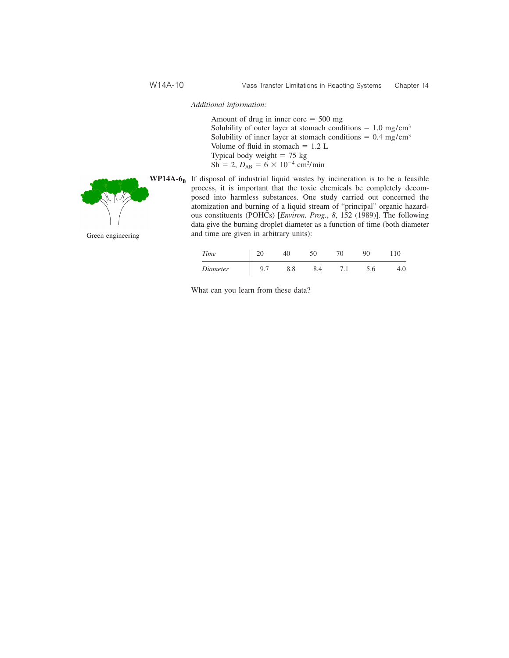*Additional information:*

Amount of drug in inner  $\text{core} = 500 \text{ mg}$ Solubility of outer layer at stomach conditions  $= 1.0$  mg/cm<sup>3</sup> Solubility of inner layer at stomach conditions =  $0.4 \text{ mg/cm}^3$ Volume of fluid in stomach  $= 1.2$  L Typical body weight  $= 75$  kg  $Sh = 2, D_{AB} = 6 \times 10^{-4}$  cm<sup>2</sup>/min

 $WP14A-6<sub>B</sub>$ 

Green engineering

| If disposal of industrial liquid wastes by incineration is to be a feasible      |
|----------------------------------------------------------------------------------|
| process, it is important that the toxic chemicals be completely decom-           |
| posed into harmless substances. One study carried out concerned the              |
| atomization and burning of a liquid stream of "principal" organic hazard-        |
| ous constituents (POHCs) [ <i>Environ. Prog.</i> , 8, 152 (1989)]. The following |
| data give the burning droplet diameter as a function of time (both diameter      |
| and time are given in arbitrary units):                                          |

| Time     |                |     |  | 90  |     |
|----------|----------------|-----|--|-----|-----|
| Diameter | Q <sub>7</sub> | 8.8 |  | 5.6 | 4.0 |

What can you learn from these data?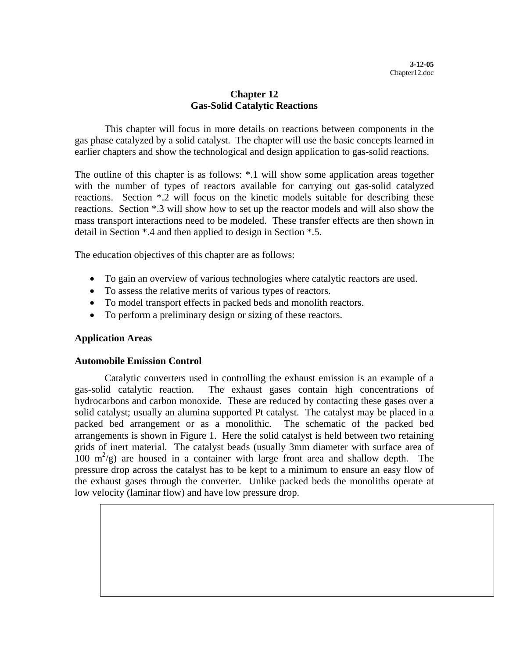## **Chapter 12 Gas-Solid Catalytic Reactions**

This chapter will focus in more details on reactions between components in the gas phase catalyzed by a solid catalyst. The chapter will use the basic concepts learned in earlier chapters and show the technological and design application to gas-solid reactions.

The outline of this chapter is as follows: \*.1 will show some application areas together with the number of types of reactors available for carrying out gas-solid catalyzed reactions. Section \*.2 will focus on the kinetic models suitable for describing these reactions. Section \*.3 will show how to set up the reactor models and will also show the mass transport interactions need to be modeled. These transfer effects are then shown in detail in Section \*.4 and then applied to design in Section \*.5.

The education objectives of this chapter are as follows:

- To gain an overview of various technologies where catalytic reactors are used.
- To assess the relative merits of various types of reactors.
- To model transport effects in packed beds and monolith reactors.
- To perform a preliminary design or sizing of these reactors.

## **Application Areas**

## **Automobile Emission Control**

Catalytic converters used in controlling the exhaust emission is an example of a gas-solid catalytic reaction. The exhaust gases contain high concentrations of hydrocarbons and carbon monoxide. These are reduced by contacting these gases over a solid catalyst; usually an alumina supported Pt catalyst. The catalyst may be placed in a packed bed arrangement or as a monolithic. The schematic of the packed bed arrangements is shown in Figure 1. Here the solid catalyst is held between two retaining grids of inert material. The catalyst beads (usually 3mm diameter with surface area of  $100 \text{ m}^2/\text{g}$  are housed in a container with large front area and shallow depth. The pressure drop across the catalyst has to be kept to a minimum to ensure an easy flow of the exhaust gases through the converter. Unlike packed beds the monoliths operate at low velocity (laminar flow) and have low pressure drop.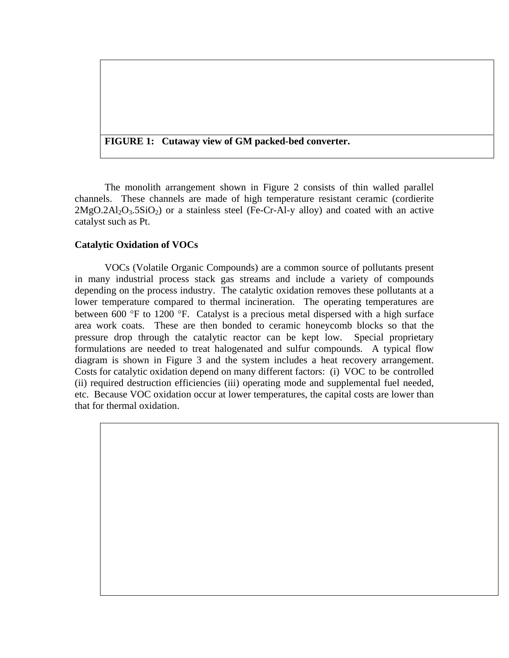## **FIGURE 1: Cutaway view of GM packed-bed converter.**

The monolith arrangement shown in Figure 2 consists of thin walled parallel channels. These channels are made of high temperature resistant ceramic (cordierite  $2MgO.2Al<sub>2</sub>O<sub>3</sub>$ .5SiO<sub>2</sub>) or a stainless steel (Fe-Cr-Al-y alloy) and coated with an active catalyst such as Pt.

## **Catalytic Oxidation of VOCs**

VOCs (Volatile Organic Compounds) are a common source of pollutants present in many industrial process stack gas streams and include a variety of compounds depending on the process industry. The catalytic oxidation removes these pollutants at a lower temperature compared to thermal incineration. The operating temperatures are between 600 °F to 1200 °F. Catalyst is a precious metal dispersed with a high surface area work coats. These are then bonded to ceramic honeycomb blocks so that the pressure drop through the catalytic reactor can be kept low. Special proprietary formulations are needed to treat halogenated and sulfur compounds. A typical flow diagram is shown in Figure 3 and the system includes a heat recovery arrangement. Costs for catalytic oxidation depend on many different factors: (i) VOC to be controlled (ii) required destruction efficiencies (iii) operating mode and supplemental fuel needed, etc. Because VOC oxidation occur at lower temperatures, the capital costs are lower than that for thermal oxidation.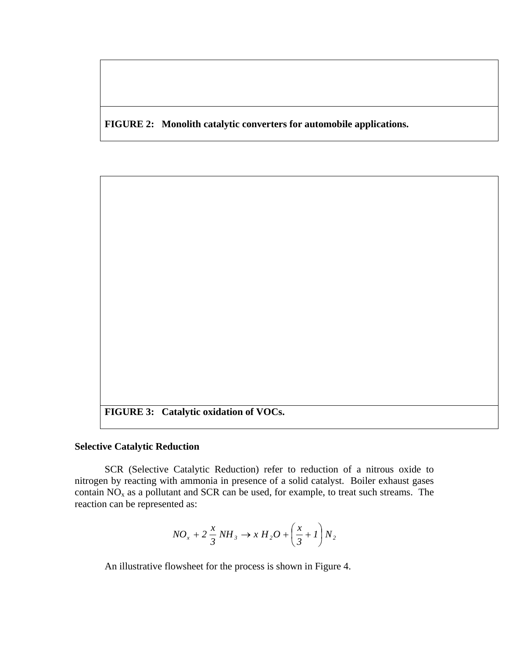**FIGURE 2: Monolith catalytic converters for automobile applications.** 

**FIGURE 3: Catalytic oxidation of VOCs.** 

## **Selective Catalytic Reduction**

SCR (Selective Catalytic Reduction) refer to reduction of a nitrous oxide to nitrogen by reacting with ammonia in presence of a solid catalyst. Boiler exhaust gases contain  $\overrightarrow{NO_x}$  as a pollutant and SCR can be used, for example, to treat such streams. The reaction can be represented as:

$$
NO_x + 2\frac{x}{3}NH_3 \rightarrow xH_2O + \left(\frac{x}{3} + 1\right)N_2
$$

An illustrative flowsheet for the process is shown in Figure 4.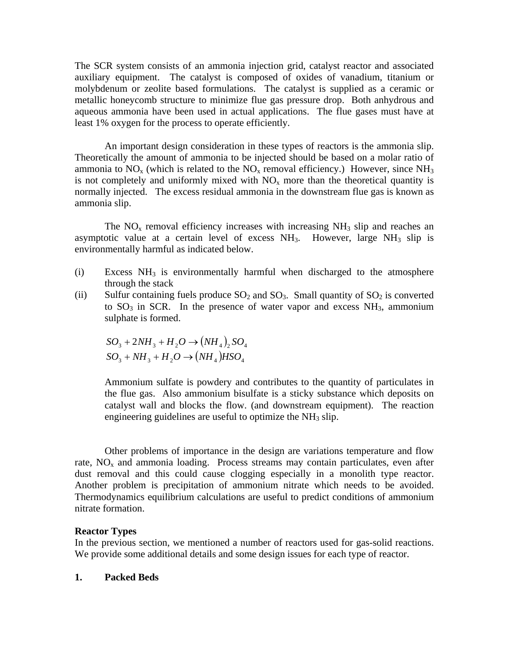The SCR system consists of an ammonia injection grid, catalyst reactor and associated auxiliary equipment. The catalyst is composed of oxides of vanadium, titanium or molybdenum or zeolite based formulations. The catalyst is supplied as a ceramic or metallic honeycomb structure to minimize flue gas pressure drop. Both anhydrous and aqueous ammonia have been used in actual applications. The flue gases must have at least 1% oxygen for the process to operate efficiently.

An important design consideration in these types of reactors is the ammonia slip. Theoretically the amount of ammonia to be injected should be based on a molar ratio of ammonia to  $NO_x$  (which is related to the  $NO_x$  removal efficiency.) However, since  $NH_3$ is not completely and uniformly mixed with  $NO<sub>x</sub>$  more than the theoretical quantity is normally injected. The excess residual ammonia in the downstream flue gas is known as ammonia slip.

The  $NO<sub>x</sub>$  removal efficiency increases with increasing  $NH<sub>3</sub>$  slip and reaches an asymptotic value at a certain level of excess  $NH<sub>3</sub>$ . However, large  $NH<sub>3</sub>$  slip is environmentally harmful as indicated below.

- (i) Excess  $NH_3$  is environmentally harmful when discharged to the atmosphere through the stack
- (ii) Sulfur containing fuels produce  $SO_2$  and  $SO_3$ . Small quantity of  $SO_2$  is converted to  $SO_3$  in SCR. In the presence of water vapor and excess  $NH_3$ , ammonium sulphate is formed.

$$
SO_3 + 2NH_3 + H_2O \rightarrow (NH_4)_2SO_4
$$
  

$$
SO_3 + NH_3 + H_2O \rightarrow (NH_4)HSO_4
$$

Ammonium sulfate is powdery and contributes to the quantity of particulates in the flue gas. Also ammonium bisulfate is a sticky substance which deposits on catalyst wall and blocks the flow. (and downstream equipment). The reaction engineering guidelines are useful to optimize the  $NH_3$  slip.

Other problems of importance in the design are variations temperature and flow rate,  $NO<sub>x</sub>$  and ammonia loading. Process streams may contain particulates, even after dust removal and this could cause clogging especially in a monolith type reactor. Another problem is precipitation of ammonium nitrate which needs to be avoided. Thermodynamics equilibrium calculations are useful to predict conditions of ammonium nitrate formation.

## **Reactor Types**

In the previous section, we mentioned a number of reactors used for gas-solid reactions. We provide some additional details and some design issues for each type of reactor.

#### **1. Packed Beds**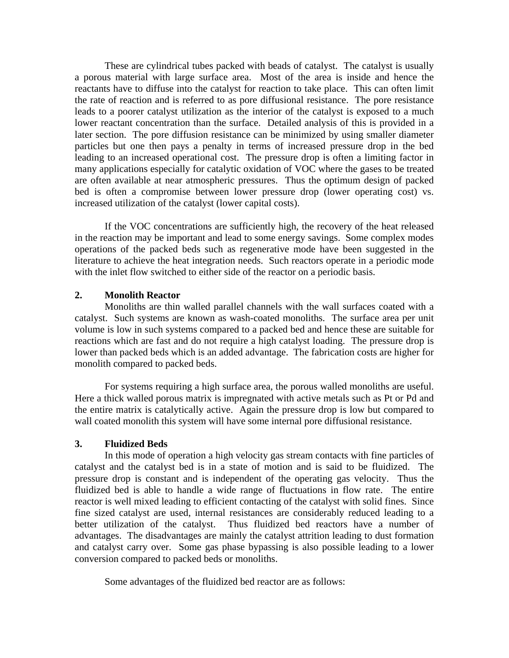These are cylindrical tubes packed with beads of catalyst. The catalyst is usually a porous material with large surface area. Most of the area is inside and hence the reactants have to diffuse into the catalyst for reaction to take place. This can often limit the rate of reaction and is referred to as pore diffusional resistance. The pore resistance leads to a poorer catalyst utilization as the interior of the catalyst is exposed to a much lower reactant concentration than the surface. Detailed analysis of this is provided in a later section. The pore diffusion resistance can be minimized by using smaller diameter particles but one then pays a penalty in terms of increased pressure drop in the bed leading to an increased operational cost. The pressure drop is often a limiting factor in many applications especially for catalytic oxidation of VOC where the gases to be treated are often available at near atmospheric pressures. Thus the optimum design of packed bed is often a compromise between lower pressure drop (lower operating cost) vs. increased utilization of the catalyst (lower capital costs).

If the VOC concentrations are sufficiently high, the recovery of the heat released in the reaction may be important and lead to some energy savings. Some complex modes operations of the packed beds such as regenerative mode have been suggested in the literature to achieve the heat integration needs. Such reactors operate in a periodic mode with the inlet flow switched to either side of the reactor on a periodic basis.

## **2. Monolith Reactor**

Monoliths are thin walled parallel channels with the wall surfaces coated with a catalyst. Such systems are known as wash-coated monoliths. The surface area per unit volume is low in such systems compared to a packed bed and hence these are suitable for reactions which are fast and do not require a high catalyst loading. The pressure drop is lower than packed beds which is an added advantage. The fabrication costs are higher for monolith compared to packed beds.

For systems requiring a high surface area, the porous walled monoliths are useful. Here a thick walled porous matrix is impregnated with active metals such as Pt or Pd and the entire matrix is catalytically active. Again the pressure drop is low but compared to wall coated monolith this system will have some internal pore diffusional resistance.

## **3. Fluidized Beds**

In this mode of operation a high velocity gas stream contacts with fine particles of catalyst and the catalyst bed is in a state of motion and is said to be fluidized. The pressure drop is constant and is independent of the operating gas velocity. Thus the fluidized bed is able to handle a wide range of fluctuations in flow rate. The entire reactor is well mixed leading to efficient contacting of the catalyst with solid fines. Since fine sized catalyst are used, internal resistances are considerably reduced leading to a better utilization of the catalyst. Thus fluidized bed reactors have a number of advantages. The disadvantages are mainly the catalyst attrition leading to dust formation and catalyst carry over. Some gas phase bypassing is also possible leading to a lower conversion compared to packed beds or monoliths.

Some advantages of the fluidized bed reactor are as follows: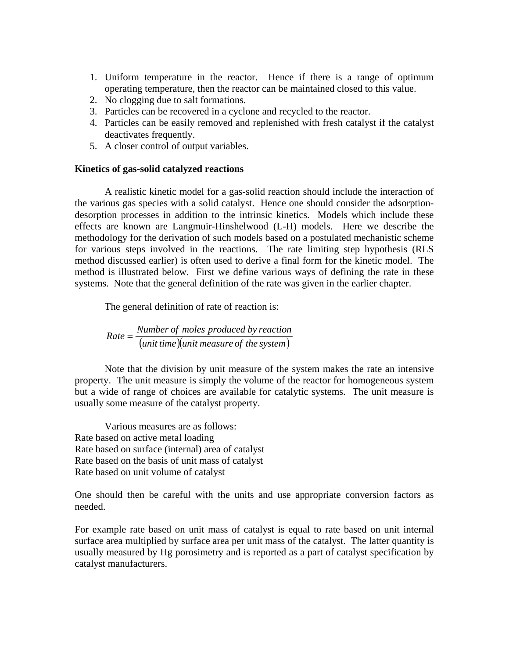- 1. Uniform temperature in the reactor. Hence if there is a range of optimum operating temperature, then the reactor can be maintained closed to this value.
- 2. No clogging due to salt formations.
- 3. Particles can be recovered in a cyclone and recycled to the reactor.
- 4. Particles can be easily removed and replenished with fresh catalyst if the catalyst deactivates frequently.
- 5. A closer control of output variables.

## **Kinetics of gas-solid catalyzed reactions**

A realistic kinetic model for a gas-solid reaction should include the interaction of the various gas species with a solid catalyst. Hence one should consider the adsorptiondesorption processes in addition to the intrinsic kinetics. Models which include these effects are known are Langmuir-Hinshelwood (L-H) models. Here we describe the methodology for the derivation of such models based on a postulated mechanistic scheme for various steps involved in the reactions. The rate limiting step hypothesis (RLS method discussed earlier) is often used to derive a final form for the kinetic model. The method is illustrated below. First we define various ways of defining the rate in these systems. Note that the general definition of the rate was given in the earlier chapter.

The general definition of rate of reaction is:

( ) *unit time* (*unit measure of the system*)  $Rate = \frac{Number of moles produced by reaction}{(1 + R)T}$ 

Note that the division by unit measure of the system makes the rate an intensive property. The unit measure is simply the volume of the reactor for homogeneous system but a wide of range of choices are available for catalytic systems. The unit measure is usually some measure of the catalyst property.

Various measures are as follows: Rate based on active metal loading Rate based on surface (internal) area of catalyst Rate based on the basis of unit mass of catalyst Rate based on unit volume of catalyst

One should then be careful with the units and use appropriate conversion factors as needed.

For example rate based on unit mass of catalyst is equal to rate based on unit internal surface area multiplied by surface area per unit mass of the catalyst. The latter quantity is usually measured by Hg porosimetry and is reported as a part of catalyst specification by catalyst manufacturers.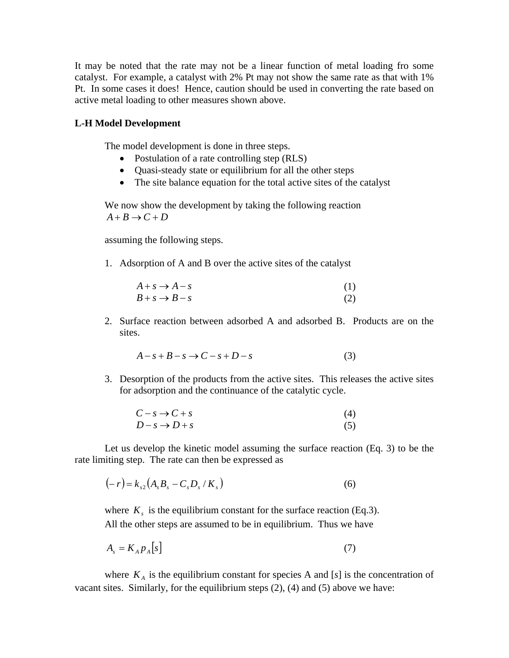It may be noted that the rate may not be a linear function of metal loading fro some catalyst. For example, a catalyst with 2% Pt may not show the same rate as that with 1% Pt. In some cases it does! Hence, caution should be used in converting the rate based on active metal loading to other measures shown above.

## **L-H Model Development**

The model development is done in three steps.

- Postulation of a rate controlling step (RLS)
- Quasi-steady state or equilibrium for all the other steps
- The site balance equation for the total active sites of the catalyst

We now show the development by taking the following reaction  $A + B \rightarrow C + D$ 

assuming the following steps.

1. Adsorption of A and B over the active sites of the catalyst

$$
A + s \rightarrow A - s
$$
  
\n
$$
B + s \rightarrow B - s
$$
 (1)  
\n(2)

2. Surface reaction between adsorbed A and adsorbed B. Products are on the sites.

$$
A - s + B - s \to C - s + D - s \tag{3}
$$

3. Desorption of the products from the active sites. This releases the active sites for adsorption and the continuance of the catalytic cycle.

$$
C - s \to C + s
$$
  
\n
$$
D - s \to D + s
$$
\n(4)

Let us develop the kinetic model assuming the surface reaction (Eq. 3) to be the rate limiting step. The rate can then be expressed as

$$
(-r) = k_{s2} (A_s B_s - C_s D_s / K_s)
$$
 (6)

where  $K<sub>s</sub>$  is the equilibrium constant for the surface reaction (Eq.3). All the other steps are assumed to be in equilibrium. Thus we have

$$
A_s = K_A p_A[s] \tag{7}
$$

where  $K_A$  is the equilibrium constant for species A and [ $s$ ] is the concentration of vacant sites. Similarly, for the equilibrium steps (2), (4) and (5) above we have: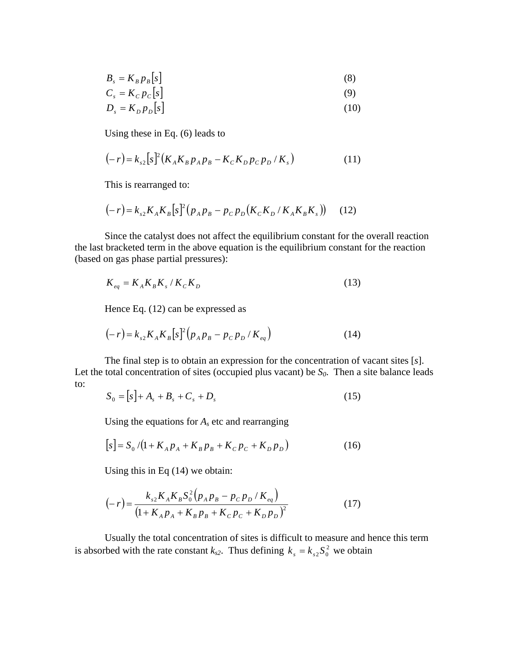$$
B_s = K_B p_B [s]
$$
 (8)

$$
C_s = K_c p_c[s]
$$
 (9)

$$
D_s = K_D p_D[s] \tag{10}
$$

Using these in Eq. (6) leads to

$$
(-r) = k_{s2} [s]^2 (K_A K_B p_A p_B - K_C K_D p_C p_D / K_s)
$$
 (11)

This is rearranged to:

$$
(-r) = k_{s2} K_A K_B [s]^2 (p_A p_B - p_C p_D (K_C K_D / K_A K_B K_s))
$$
 (12)

Since the catalyst does not affect the equilibrium constant for the overall reaction the last bracketed term in the above equation is the equilibrium constant for the reaction (based on gas phase partial pressures):

$$
K_{eq} = K_A K_B K_s / K_c K_D \tag{13}
$$

Hence Eq. (12) can be expressed as

$$
(-r) = k_{s2} K_A K_B [s]^2 (p_A p_B - p_C p_D / K_{eq})
$$
 (14)

The final step is to obtain an expression for the concentration of vacant sites [*s*]. Let the total concentration of sites (occupied plus vacant) be  $S_0$ . Then a site balance leads to:

$$
S_0 = [s] + A_s + B_s + C_s + D_s \tag{15}
$$

Using the equations for  $A_s$  etc and rearranging

$$
[s] = S_0 / (1 + K_A p_A + K_B p_B + K_C p_C + K_D p_D)
$$
 (16)

Using this in Eq (14) we obtain:

$$
(-r) = \frac{k_{s2}K_A K_B S_0^2 (p_A p_B - p_C p_D / K_{eq})}{(1 + K_A p_A + K_B p_B + K_C p_C + K_D p_D)^2}
$$
(17)

Usually the total concentration of sites is difficult to measure and hence this term is absorbed with the rate constant  $k_{s2}$ . Thus defining  $k_s = k_{s2} S_0^2$  we obtain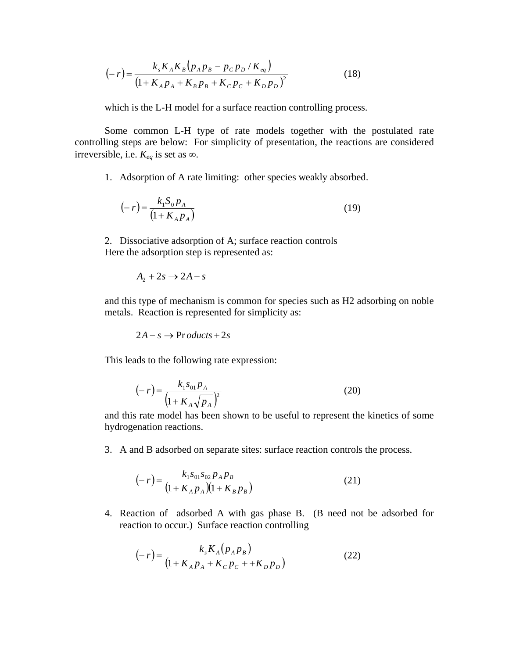$$
(-r) = \frac{k_s K_A K_B (p_A p_B - p_C p_D / K_{eq})}{(1 + K_A p_A + K_B p_B + K_C p_C + K_D p_D)^2}
$$
(18)

which is the L-H model for a surface reaction controlling process.

Some common L-H type of rate models together with the postulated rate controlling steps are below: For simplicity of presentation, the reactions are considered irreversible, i.e.  $K_{eq}$  is set as ∞.

1. Adsorption of A rate limiting: other species weakly absorbed.

$$
(-r) = \frac{k_1 S_0 p_A}{(1 + K_A p_A)}
$$
(19)

2. Dissociative adsorption of A; surface reaction controls Here the adsorption step is represented as:

$$
A_2 + 2s \rightarrow 2A - s
$$

and this type of mechanism is common for species such as H2 adsorbing on noble metals. Reaction is represented for simplicity as:

$$
2A - s \rightarrow \text{Pr} \, \text{oducts} + 2s
$$

This leads to the following rate expression:

$$
(-r) = \frac{k_1 s_{01} p_A}{\left(1 + K_A \sqrt{p_A}\right)^2}
$$
 (20)

and this rate model has been shown to be useful to represent the kinetics of some hydrogenation reactions.

3. A and B adsorbed on separate sites: surface reaction controls the process.

$$
(-r) = \frac{k_1 s_{01} s_{02} p_A p_B}{(1 + K_A p_A)(1 + K_B p_B)}
$$
(21)

4. Reaction of adsorbed A with gas phase B. (B need not be adsorbed for reaction to occur.) Surface reaction controlling

$$
(-r) = \frac{k_s K_A (p_A p_B)}{(1 + K_A p_A + K_C p_C + + K_D p_D)}
$$
(22)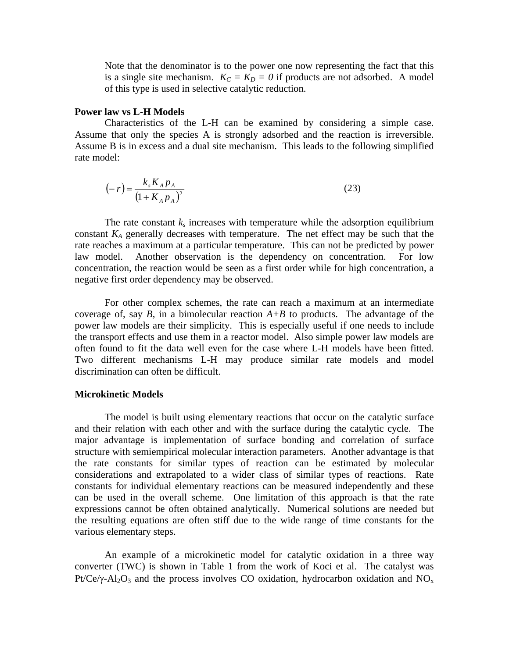Note that the denominator is to the power one now representing the fact that this is a single site mechanism.  $K_C = K_D = 0$  if products are not adsorbed. A model of this type is used in selective catalytic reduction.

## **Power law vs L-H Models**

Characteristics of the L-H can be examined by considering a simple case. Assume that only the species A is strongly adsorbed and the reaction is irreversible. Assume B is in excess and a dual site mechanism. This leads to the following simplified rate model:

$$
(-r) = \frac{k_s K_A p_A}{(1 + K_A p_A)^2}
$$
 (23)

The rate constant  $k_s$  increases with temperature while the adsorption equilibrium constant  $K_A$  generally decreases with temperature. The net effect may be such that the rate reaches a maximum at a particular temperature. This can not be predicted by power law model. Another observation is the dependency on concentration. For low concentration, the reaction would be seen as a first order while for high concentration, a negative first order dependency may be observed.

For other complex schemes, the rate can reach a maximum at an intermediate coverage of, say *B*, in a bimolecular reaction  $A+B$  to products. The advantage of the power law models are their simplicity. This is especially useful if one needs to include the transport effects and use them in a reactor model. Also simple power law models are often found to fit the data well even for the case where L-H models have been fitted. Two different mechanisms L-H may produce similar rate models and model discrimination can often be difficult.

## **Microkinetic Models**

The model is built using elementary reactions that occur on the catalytic surface and their relation with each other and with the surface during the catalytic cycle. The major advantage is implementation of surface bonding and correlation of surface structure with semiempirical molecular interaction parameters. Another advantage is that the rate constants for similar types of reaction can be estimated by molecular considerations and extrapolated to a wider class of similar types of reactions. Rate constants for individual elementary reactions can be measured independently and these can be used in the overall scheme. One limitation of this approach is that the rate expressions cannot be often obtained analytically. Numerical solutions are needed but the resulting equations are often stiff due to the wide range of time constants for the various elementary steps.

An example of a microkinetic model for catalytic oxidation in a three way converter (TWC) is shown in Table 1 from the work of Koci et al. The catalyst was Pt/Ce/ $\gamma$ -Al<sub>2</sub>O<sub>3</sub> and the process involves CO oxidation, hydrocarbon oxidation and NO<sub>x</sub>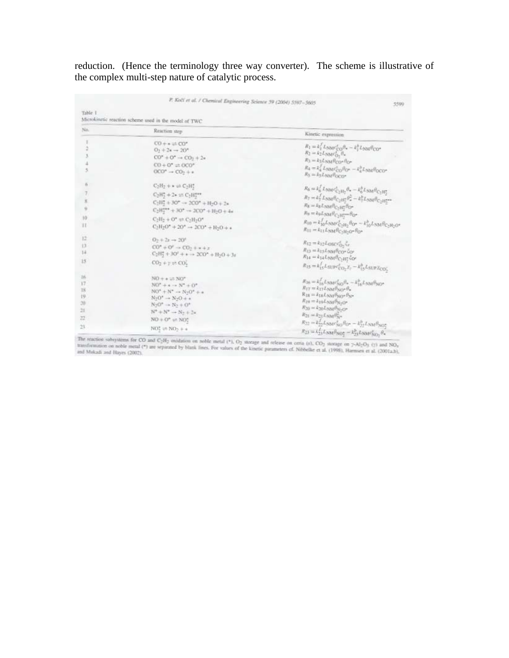reduction. (Hence the terminology three way converter). The scheme is illustrative of the complex multi-step nature of catalytic process.

|                                                  | P. Kočí et al. / Chemical Engineering Science 59 (2004) 5597-5605                                                                                                                                                                                                                                  | 5590                                                                                                                                                                                                                                                                                                                                                                                                                                                                                                                                                                                                       |  |  |  |  |
|--------------------------------------------------|----------------------------------------------------------------------------------------------------------------------------------------------------------------------------------------------------------------------------------------------------------------------------------------------------|------------------------------------------------------------------------------------------------------------------------------------------------------------------------------------------------------------------------------------------------------------------------------------------------------------------------------------------------------------------------------------------------------------------------------------------------------------------------------------------------------------------------------------------------------------------------------------------------------------|--|--|--|--|
| Table 1                                          | Microkinetic reaction scheme used in the model of TWC                                                                                                                                                                                                                                              |                                                                                                                                                                                                                                                                                                                                                                                                                                                                                                                                                                                                            |  |  |  |  |
| No.                                              | Reaction step                                                                                                                                                                                                                                                                                      | Kinetic expression                                                                                                                                                                                                                                                                                                                                                                                                                                                                                                                                                                                         |  |  |  |  |
|                                                  | $CO + * = CO"$<br>$O_2 + 24 \rightarrow 2O^*$<br>$CO^* + O^* \rightarrow CO_2 + 2*$<br>$CO + O^* \rightleftharpoons OCO^*$<br>$000'' \rightarrow 00 + 4$                                                                                                                                           | $R_1 = k_1^2 L_{\text{NNF}} c_{\text{CO}}^2 \theta_* - k_1^2 L_{\text{NNF}} \theta_{\text{CO}}^2$<br>$R_2 = k_2 L_{\text{NNIC}}^{\text{c}}_{\text{O}}, \theta_*$<br>$R_3 = k_3 L_{\text{NM}} \theta_{\text{CO}} \cdot \theta_{\text{O}}$<br>$R_4 = k_4^2 L_5 \alpha_4 c_{CO}^2 \beta_{O^*} - k_4^3 L_5 \alpha_4 \beta_{OCO^*}$<br>$R_S = k_S L_{\text{NM}} \theta_{\text{OCD}}$                                                                                                                                                                                                                            |  |  |  |  |
| ñ<br>x<br>$10-$<br>п                             | $C_2H_2 + \bullet \rightleftarrows C_2H_2^*$<br>$C_2H_2^* + 2* := C_2H_1^{***}$<br>$C_2H_2^* + 30^* \rightarrow 2CO^* + H_2O + 2s$<br>$C_2H_2^{***} + 30^* \rightarrow 2CO^* + H_2O + 4s$<br>$C_2H_2 + O^* \rightleftharpoons C_2H_2O^*$<br>$C_2H_2O^* + 2O^* \rightarrow 2CO^* + H_2O + \epsilon$ | $R_6 = k_6^f L_{\text{NMC}} \epsilon_{\text{vH}_7}^e \theta_* - k_6^b L_{\text{NMC}} \theta_{\text{C}_7\text{H}_7^o}$<br>$R_7 = k_7^f L_{\text{NNM}} \theta_{C_2H_2^*} \theta_*^2 - k_7^h L_{\text{NNM}} \theta_{C_2H_2^{***}}$<br>$R_{\rm S} = k_{\rm S} L_{\rm NM} \delta_{\rm C_2 H_2^0} \delta_{\rm O^{\rm o}}$<br>$R_{\rm H}=k_{\rm B}L_{\rm NM}\theta_{C_2\rm H_2^{tree}}\theta_{\rm O^0}$<br>$R_{10}=k_{10}^f L_{\rm NM} c_{\rm C_2H_2}^f \theta_{\rm O''}-k_{10}^h L_{\rm NM} \theta_{\rm C_2H_2O''}$<br>$R_{11} = k_{11} L_{\text{NM}} \theta_{\text{C}_2 \text{H}_2 \text{O}} \theta_{\text{O}}$ |  |  |  |  |
| 12<br>Đ<br>14<br>15                              | $0 + 2t \rightarrow 20$ <sup>t</sup><br>$CO'' + O' \rightarrow CO_2 + x + x$<br>$C_2H_2^* + 3O^2 + * \rightarrow 2CO^* + H_2O + 3s$<br>$CO2 + y = CO2$                                                                                                                                             | $R_{12} = k_{12} L_{OSCCO_2} c_r$<br>$R_{13} = \lambda_{13} L_{NN} \theta_{CO}$ (or<br>$R_{14} = k_{14} L_{\text{NM}} \theta_{\text{C}_2 \text{H}_2^*} \xi_{\text{O}^2}$<br>$R_{15} = k_{15}^f L_{SUP}c_{CO}^g, Z_7 - k_{15}^h L_{SUP}Z_{CO}$                                                                                                                                                                                                                                                                                                                                                              |  |  |  |  |
| 26<br>17<br>18<br>19<br>20<br>21<br>22<br>$23 -$ | $NO +$ $+$ $\geq$ $NO^*$<br>$NO'' + \epsilon \rightarrow N'' + OP''$<br>$NO^* + N^* \rightarrow N_2O^* + a$<br>$N_2O^* \rightarrow N_2O + \epsilon$<br>$N_2O'' \to N_2 + O''$<br>$N^* + N^* \to N_2 + 2\pi$<br>$NO + O^* \rightleftharpoons NO^*$<br>$NO2*$ $\rightleftharpoons NO2 +$ $\circ$     | $R_{20} = k_{16}^2 L_{20M} c_{NO}^2 \theta_* - k_{16}^2 L_{20M} \theta_{NO^*}$<br>$R_{17} = k_{17} L_{\text{NM}} \theta_{\text{NGF}} \theta_{\text{m}}$<br>$R_{18} = k_{18} L_{\text{NM}} \theta_{\text{ND}^+} \theta_{\text{N}^+}$<br>$R_{19} = k_{19} L_{NM} \theta_{N_2, Cr}$<br>$R_{20} = k_{20} L_{20M} \theta_{N_2O^*}$<br>$R_{21} = k_{21} L_{\rm NM} R_{\rm N}$<br>$R_{22} = k_{22}^2 L_{\text{NMC}} k_{\text{HO}} \theta_{\text{O}} + k_{22}^3 L_{\text{NMC}} \theta_{\text{NG2}}$<br>$R_{23} = k_{13} L_{NN} \theta_{NO_2^*} - k_{23}^2 L_{NM} \epsilon_{NO_2}^* \theta_*$                       |  |  |  |  |

The reaction subsystems for CO and C<sub>2</sub>H<sub>2</sub> oxidation on noble metal (\*), O<sub>2</sub> storage and release on cesta (x), CO<sub>2</sub> storage on 7-Al<sub>2</sub>O<sub>3</sub> (x) and NO<sub>3</sub> transformation on noble metal (\*) are separated by blank lines. F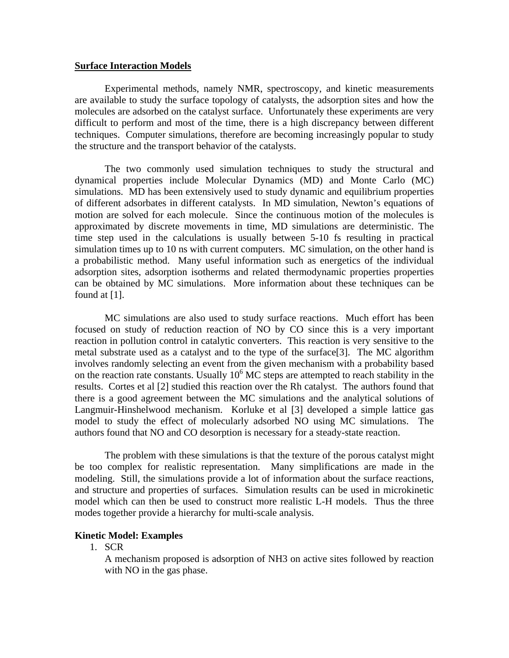#### **Surface Interaction Models**

 Experimental methods, namely NMR, spectroscopy, and kinetic measurements are available to study the surface topology of catalysts, the adsorption sites and how the molecules are adsorbed on the catalyst surface. Unfortunately these experiments are very difficult to perform and most of the time, there is a high discrepancy between different techniques. Computer simulations, therefore are becoming increasingly popular to study the structure and the transport behavior of the catalysts.

 The two commonly used simulation techniques to study the structural and dynamical properties include Molecular Dynamics (MD) and Monte Carlo (MC) simulations. MD has been extensively used to study dynamic and equilibrium properties of different adsorbates in different catalysts. In MD simulation, Newton's equations of motion are solved for each molecule. Since the continuous motion of the molecules is approximated by discrete movements in time, MD simulations are deterministic. The time step used in the calculations is usually between 5-10 fs resulting in practical simulation times up to 10 ns with current computers. MC simulation, on the other hand is a probabilistic method. Many useful information such as energetics of the individual adsorption sites, adsorption isotherms and related thermodynamic properties properties can be obtained by MC simulations. More information about these techniques can be found at [1].

 MC simulations are also used to study surface reactions. Much effort has been focused on study of reduction reaction of NO by CO since this is a very important reaction in pollution control in catalytic converters. This reaction is very sensitive to the metal substrate used as a catalyst and to the type of the surface[3]. The MC algorithm involves randomly selecting an event from the given mechanism with a probability based on the reaction rate constants. Usually  $10<sup>6</sup>$  MC steps are attempted to reach stability in the results. Cortes et al [2] studied this reaction over the Rh catalyst. The authors found that there is a good agreement between the MC simulations and the analytical solutions of Langmuir-Hinshelwood mechanism. Korluke et al [3] developed a simple lattice gas model to study the effect of molecularly adsorbed NO using MC simulations. The authors found that NO and CO desorption is necessary for a steady-state reaction.

 The problem with these simulations is that the texture of the porous catalyst might be too complex for realistic representation. Many simplifications are made in the modeling. Still, the simulations provide a lot of information about the surface reactions, and structure and properties of surfaces. Simulation results can be used in microkinetic model which can then be used to construct more realistic L-H models. Thus the three modes together provide a hierarchy for multi-scale analysis.

## **Kinetic Model: Examples**

1. SCR

A mechanism proposed is adsorption of NH3 on active sites followed by reaction with NO in the gas phase.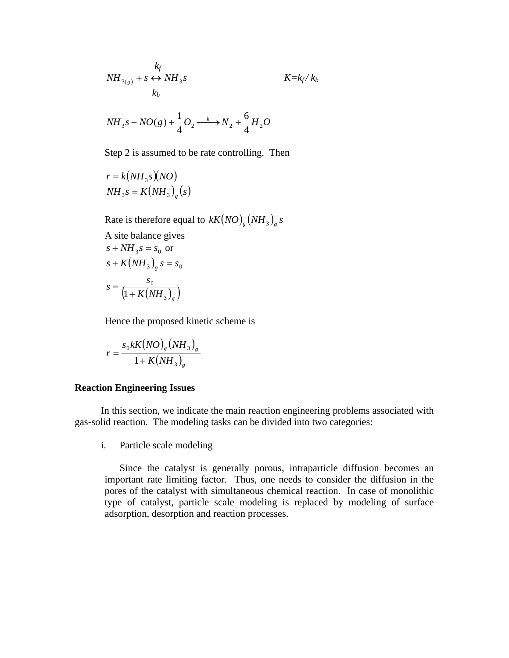$$
NH_{3(g)} + s \leftrightarrow NH_3s
$$
  

$$
K = k_f / k_b
$$
  

$$
K = k_f / k_b
$$

$$
NH_3s + NO(g) + \frac{1}{4}O_2 \xrightarrow{k} N_2 + \frac{6}{4}H_2O
$$

Step 2 is assumed to be rate controlling. Then

$$
r = k(NH3s)(NO)
$$
  

$$
NH3s = K(NH3)g(s)
$$

Rate is therefore equal to  $kK(NO)_{g}(NH_{3})_{g}$  *s* 

A site balance gives  
\n
$$
s + NH_3s = s_0
$$
 or  
\n $s + K(NH_3)_g s = s_0$   
\n $s = \frac{s_0}{\left(1 + K(NH_3)_g\right)}$ 

Hence the proposed kinetic scheme is

$$
r = \frac{s_0 k K \left( NO \right)_s \left( NH_3 \right)_s}{1 + K \left( NH_3 \right)_s}
$$

#### **Reaction Engineering Issues**

In this section, we indicate the main reaction engineering problems associated with gas-solid reaction. The modeling tasks can be divided into two categories:

i. Particle scale modeling

Since the catalyst is generally porous, intraparticle diffusion becomes an important rate limiting factor. Thus, one needs to consider the diffusion in the pores of the catalyst with simultaneous chemical reaction. In case of monolithic type of catalyst, particle scale modeling is replaced by modeling of surface adsorption, desorption and reaction processes.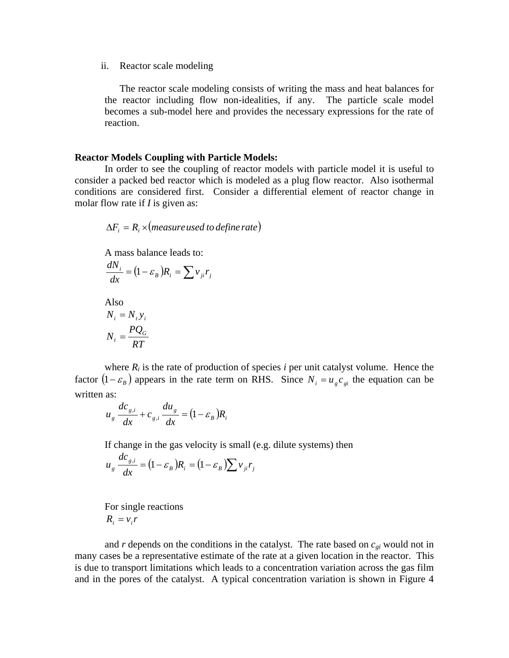ii. Reactor scale modeling

The reactor scale modeling consists of writing the mass and heat balances for the reactor including flow non-idealities, if any. The particle scale model becomes a sub-model here and provides the necessary expressions for the rate of reaction.

## **Reactor Models Coupling with Particle Models:**

In order to see the coupling of reactor models with particle model it is useful to consider a packed bed reactor which is modeled as a plug flow reactor. Also isothermal conditions are considered first. Consider a differential element of reactor change in molar flow rate if *I* is given as:

 $\Delta F_i = R_i \times (measure used to define rate)$ 

A mass balance leads to:

$$
\frac{dN_i}{dx} = (1 - \varepsilon_B)R_i = \sum v_{ji}r_j
$$

 Also  $N_i = N_i y_i$ *RT*  $N_t = \frac{PQ_G}{RT}$ 

where  $R_i$  is the rate of production of species *i* per unit catalyst volume. Hence the factor  $(1 - \varepsilon_B)$  appears in the rate term on RHS. Since  $N_i = u_g c_{gi}$  the equation can be written as:

$$
u_g \frac{dc_{g,i}}{dx} + c_{g,i} \frac{du_g}{dx} = (1 - \varepsilon_B)R_i
$$

If change in the gas velocity is small (e.g. dilute systems) then

$$
u_g \frac{dc_{g,i}}{dx} = (1 - \varepsilon_B)R_i = (1 - \varepsilon_B) \sum v_{ji} r_j
$$

 For single reactions  $R_i = v_i r$ 

and  $r$  depends on the conditions in the catalyst. The rate based on  $c_{gi}$  would not in many cases be a representative estimate of the rate at a given location in the reactor. This is due to transport limitations which leads to a concentration variation across the gas film and in the pores of the catalyst. A typical concentration variation is shown in Figure 4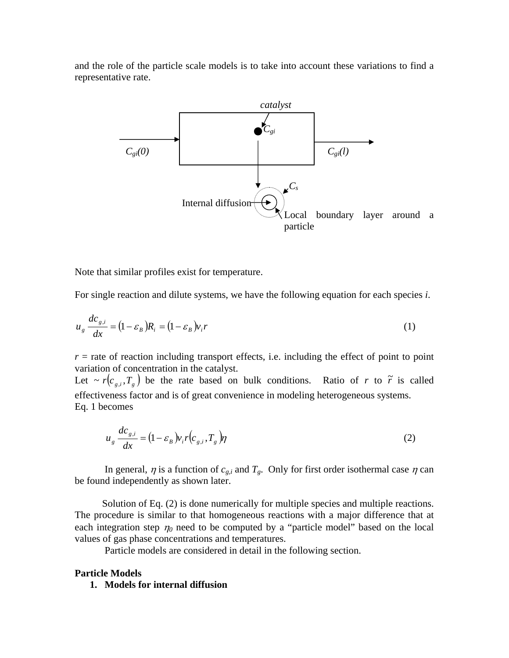and the role of the particle scale models is to take into account these variations to find a representative rate.



Note that similar profiles exist for temperature.

For single reaction and dilute systems, we have the following equation for each species *i*.

$$
u_g \frac{dc_{g,i}}{dx} = (1 - \varepsilon_B)R_i = (1 - \varepsilon_B)v_i r
$$
 (1)

 $r =$  rate of reaction including transport effects, i.e. including the effect of point to point variation of concentration in the catalyst. Let  $\sim r(c_{g,i}, T_g)$  be the rate based on bulk conditions. Ratio of *r* to  $\tilde{r}$  is called effectiveness factor and is of great convenience in modeling heterogeneous systems. Eq. 1 becomes

$$
u_g \frac{dc_{g,i}}{dx} = (1 - \varepsilon_B) v_i r(c_{g,i}, T_g) \eta
$$
 (2)

In general,  $\eta$  is a function of  $c_{g,i}$  and  $T_g$ . Only for first order isothermal case  $\eta$  can be found independently as shown later.

Solution of Eq. (2) is done numerically for multiple species and multiple reactions. The procedure is similar to that homogeneous reactions with a major difference that at each integration step  $\eta_0$  need to be computed by a "particle model" based on the local values of gas phase concentrations and temperatures.

Particle models are considered in detail in the following section.

## **Particle Models**

## **1. Models for internal diffusion**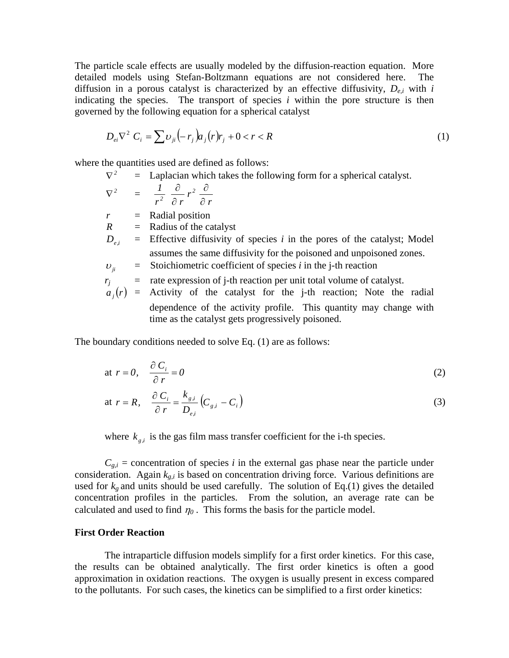The particle scale effects are usually modeled by the diffusion-reaction equation. More detailed models using Stefan-Boltzmann equations are not considered here. The diffusion in a porous catalyst is characterized by an effective diffusivity, *De,i* with *i* indicating the species. The transport of species  $i$  within the pore structure is then governed by the following equation for a spherical catalyst

$$
D_{ei}\nabla^2 C_i = \sum v_{ji} (-r_j) a_j (r) r_j + 0 < r < R
$$
 (1)

where the quantities used are defined as follows:

 $\nabla^2$  = Laplacian which takes the following form for a spherical catalyst.

 $\nabla^2$  = *r r*  $r^2$   $\partial r$  $1 \quad \partial \quad z^2$ *<sup>2</sup>* ∂ ∂ ∂ ∂

*r* = Radial position

 $R =$  Radius of the catalyst

- $D_{ij}$  = Effective diffusivity of species *i* in the pores of the catalyst; Model assumes the same diffusivity for the poisoned and unpoisoned zones.
- $v_{ji}$  = Stoichiometric coefficient of species *i* in the j-th reaction
- $r_i$  = rate expression of j-th reaction per unit total volume of catalyst.
- $a_j(r)$  = Activity of the catalyst for the j-th reaction; Note the radial dependence of the activity profile. This quantity may change with time as the catalyst gets progressively poisoned.

The boundary conditions needed to solve Eq. (1) are as follows:

at 
$$
r = 0
$$
,  $\frac{\partial C_i}{\partial r} = 0$  (2)

at 
$$
r = R
$$
,  $\frac{\partial C_i}{\partial r} = \frac{k_{g,i}}{D_{e,i}} \left( C_{g,i} - C_i \right)$  (3)

where  $k_{g,i}$  is the gas film mass transfer coefficient for the i-th species.

 $C_{g,i}$  = concentration of species *i* in the external gas phase near the particle under consideration. Again *kg,i* is based on concentration driving force. Various definitions are used for  $k_g$  and units should be used carefully. The solution of Eq.(1) gives the detailed concentration profiles in the particles. From the solution, an average rate can be calculated and used to find  $\eta_0$ . This forms the basis for the particle model.

#### **First Order Reaction**

The intraparticle diffusion models simplify for a first order kinetics. For this case, the results can be obtained analytically. The first order kinetics is often a good approximation in oxidation reactions. The oxygen is usually present in excess compared to the pollutants. For such cases, the kinetics can be simplified to a first order kinetics: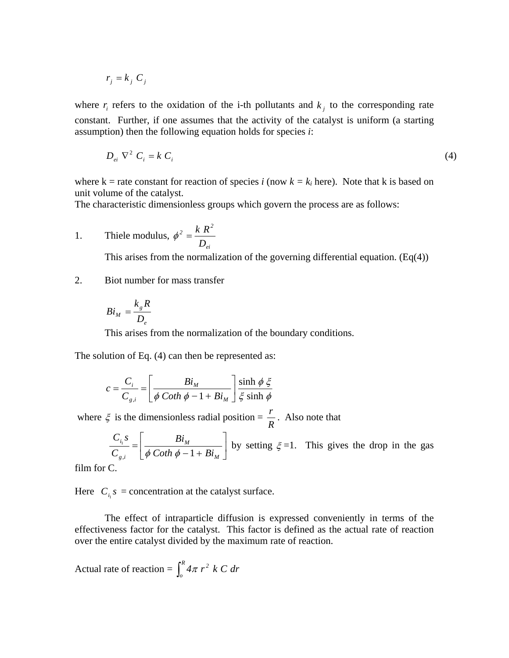$$
r_j = k_j \ C_j
$$

where  $r_i$  refers to the oxidation of the i-th pollutants and  $k_j$  to the corresponding rate constant. Further, if one assumes that the activity of the catalyst is uniform (a starting assumption) then the following equation holds for species *i*:

$$
D_{ei} \nabla^2 C_i = k C_i \tag{4}
$$

where  $k =$  rate constant for reaction of species *i* (now  $k = k<sub>i</sub>$  here). Note that k is based on unit volume of the catalyst.

The characteristic dimensionless groups which govern the process are as follows:

1. The line modulus, 
$$
\phi^2 = \frac{k R^2}{D_{ei}}
$$

This arises from the normalization of the governing differential equation.  $(Eq(4))$ 

## 2. Biot number for mass transfer

$$
Bi_M = \frac{k_g R}{D_e}
$$

This arises from the normalization of the boundary conditions.

The solution of Eq. (4) can then be represented as:

$$
c = \frac{C_i}{C_{g,i}} = \left[\frac{Bi_M}{\phi \coth \phi - 1 + Bi_M}\right] \frac{\sinh \phi \xi}{\xi \sinh \phi}
$$

where  $\zeta$  is the dimensionless radial position =  $\frac{r}{R}$ . Also note that

 $\overline{\phantom{a}}$ ⎦  $\frac{Bi_M}{\phi \text{Cot} \phi \phi^{-1} + Bi}$ ⎣  $\mathsf L$  $=\left[\frac{B_i}{\phi\:\text{Coth}\:\phi-1+B_i}\right]$ *M g i i Coth*  $\phi - 1 + Bi$ *Bi C*  $C_i$ *s*  $\int_{a}$   $\left[ \phi \ \text{Coth} \ \phi - 1 \right]$  $\frac{dV_{\text{th}}}{d\phi}\left(\frac{Bv_{\text{th}}}{\phi-\frac{1+Bi_{\text{th}}}{\phi}}\right)$  by setting  $\xi=1$ . This gives the drop in the gas

film for C.

Here  $C_{i}$  *s* = concentration at the catalyst surface.

The effect of intraparticle diffusion is expressed conveniently in terms of the effectiveness factor for the catalyst. This factor is defined as the actual rate of reaction over the entire catalyst divided by the maximum rate of reaction.

Actual rate of reaction =  $\int_{o}^{R}$  $\int_a^b$  4 $\pi$  *r*<sup>2</sup> *k C dr*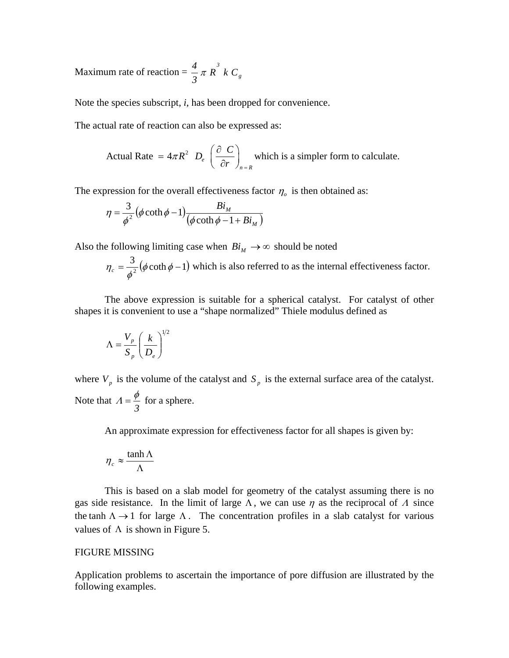Maximum rate of reaction =  $\frac{4}{3}\pi R^3 k C_g$ *3 4* π

Note the species subscript, *i*, has been dropped for convenience.

The actual rate of reaction can also be expressed as:

Actual Rate = 
$$
4\pi R^2
$$
 D<sub>e</sub>  $\left(\frac{\partial C}{\partial r}\right)_{n=R}$  which is a simpler form to calculate.

The expression for the overall effectiveness factor  $\eta_o$  is then obtained as:

$$
\eta = \frac{3}{\phi^2} (\phi \coth \phi - 1) \frac{Bi_M}{(\phi \coth \phi - 1 + Bi_M)}
$$

Also the following limiting case when  $Bi_M \rightarrow \infty$  should be noted

$$
\eta_c = \frac{3}{\phi^2} (\phi \coth \phi - 1)
$$
 which is also referred to as the internal effectiveness factor.

The above expression is suitable for a spherical catalyst. For catalyst of other shapes it is convenient to use a "shape normalized" Thiele modulus defined as

$$
\Lambda = \frac{V_p}{S_p} \left(\frac{k}{D_e}\right)^{1/2}
$$

where  $V_p$  is the volume of the catalyst and  $S_p$  is the external surface area of the catalyst. Note that *3*  $A = \frac{\phi}{a}$  for a sphere.

An approximate expression for effectiveness factor for all shapes is given by:

$$
\eta_c \approx \frac{\tanh \Lambda}{\Lambda}
$$

This is based on a slab model for geometry of the catalyst assuming there is no gas side resistance. In the limit of large  $\Lambda$ , we can use  $\eta$  as the reciprocal of  $\Lambda$  since the tanh  $\Lambda \rightarrow 1$  for large  $\Lambda$ . The concentration profiles in a slab catalyst for various values of  $\Lambda$  is shown in Figure 5.

## FIGURE MISSING

Application problems to ascertain the importance of pore diffusion are illustrated by the following examples.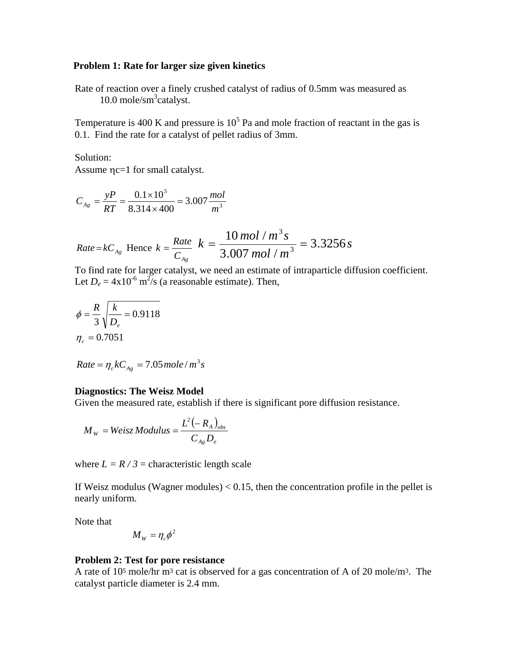## **Problem 1: Rate for larger size given kinetics**

Rate of reaction over a finely crushed catalyst of radius of 0.5mm was measured as 10.0 mole/sm<sup>3</sup>catalyst.

Temperature is 400 K and pressure is  $10<sup>5</sup>$  Pa and mole fraction of reactant in the gas is 0.1. Find the rate for a catalyst of pellet radius of 3mm.

Solution:

Assume ηc=1 for small catalyst.

$$
C_{_{Ag}} = \frac{yP}{RT} = \frac{0.1 \times 10^5}{8.314 \times 400} = 3.007 \frac{mol}{m^3}
$$

*Rate=kC<sub>Ag</sub>* Hence 
$$
k = \frac{Rate}{C_{Ag}}
$$
  $k = \frac{10 \text{ mol} / \text{m}^3 \text{ s}}{3.007 \text{ mol} / \text{m}^3} = 3.3256 \text{ s}$ 

To find rate for larger catalyst, we need an estimate of intraparticle diffusion coefficient. Let  $D_e = 4 \times 10^{-6}$  m<sup>2</sup>/s (a reasonable estimate). Then,

$$
\phi = \frac{R}{3} \sqrt{\frac{k}{D_e}} = 0.9118
$$

$$
\eta_c = 0.7051
$$

$$
Rate = \eta_c k C_{Ag} = 7.05 \, mole/m^3 s
$$

#### **Diagnostics: The Weisz Model**

Given the measured rate, establish if there is significant pore diffusion resistance.

$$
M_{W} = Weisz Modulus = \frac{L^{2}(-R_{A})_{obs}}{C_{Ag}D_{e}}
$$

where  $L = R / 3$  = characteristic length scale

If Weisz modulus (Wagner modules)  $< 0.15$ , then the concentration profile in the pellet is nearly uniform.

Note that

$$
M_{W}=\eta_{c}\phi^{2}
$$

## **roblem 2: Test for pore resistance P**

A rate of 10<sup>5</sup> mole/hr m<sup>3</sup> cat is observed for a gas concentration of A of 20 mole/m<sup>3</sup>. The catalyst particle diameter is 2.4 mm.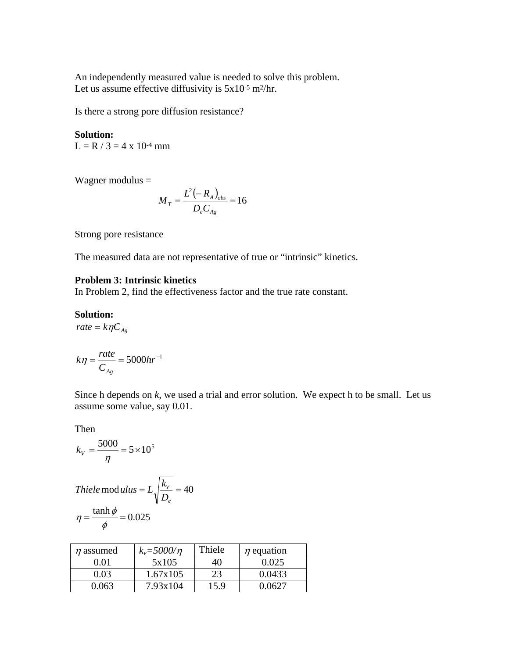An independently measured value is needed to solve this problem. Let us assume effective diffusivity is  $5x10^{-5}$  m<sup>2</sup>/hr.

Is there a strong pore diffusion resistance?

 $L = R / 3 = 4 x 10^{-4}$  mm **Solution:** 

Wagner modulus  $=$ 

$$
M_{T} = \frac{L^{2}(-R_{A})_{obs}}{D_{e}C_{Ag}} = 16
$$

Strong pore resistance

The measured data are not representative of true or "intrinsic" kinetics.

## **roblem 3: Intrinsic kinetics P**

In Problem 2, find the effectiveness factor and the true rate constant.

## **Solution:**

*rate* =  $k\eta C_{Ag}$ 

$$
k\eta = \frac{rate}{C_{Ag}} = 5000hr^{-1}
$$

Since h depends on *k*, we used a trial and error solution. We expect h to be small. Let us assume some value, say 0.01.

Then

$$
k_V = \frac{5000}{\eta} = 5 \times 10^5
$$

$$
\begin{aligned} \text{Thiele mod }ulus &= L\sqrt{\frac{k_v}{D_e}} = 40\\ \eta &= \frac{\tanh \phi}{\phi} = 0.025 \end{aligned}
$$

| $\eta$ assumed | $k_v = 5000/n$ | Thiele | $\eta$ equation |
|----------------|----------------|--------|-----------------|
| 0.01           | 5x105          | 40     | 0.025           |
| 0.03           | 1.67x105       | 23     | 0.0433          |
| 0.063          | 7.93x104       | 15.9   | በ በ627          |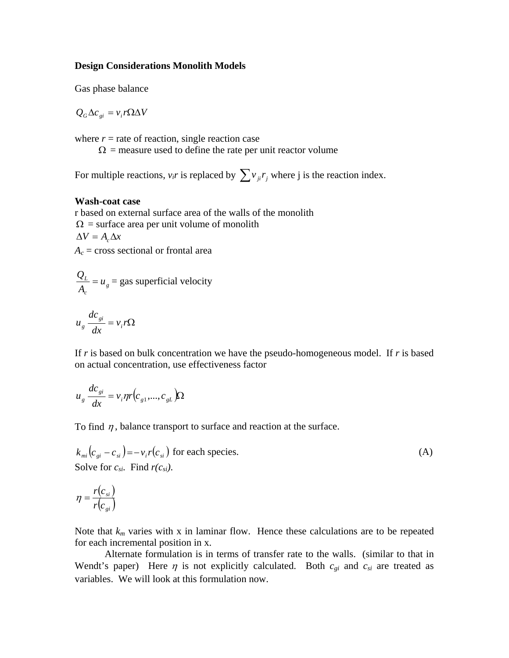## **Design Considerations Monolith Models**

Gas phase balanc e

$$
Q_G \Delta c_{gi} = v_i r \Omega \Delta V
$$

where  $r =$  rate of reaction, single reaction case

 $\Omega$  = measure used to define the rate per unit reactor volume

For multiple reactions,  $v_i r$  is replaced by  $\sum v_{ji} r_j$  where j is the reaction index.

## **ash-coat case W**

r based on external surface area of the walls of the monolith  $\Omega$  = surface area per unit volume of monolith  $\Delta V = A_c \Delta x$  $A_c$  = cross sectional or frontal area

$$
\frac{Q_L}{A_c} = u_g = \text{gas superficial velocity}
$$

$$
u_g \frac{dc_{gi}}{dx} = v_i r \Omega
$$

If *r* is based on bulk concentration we have the pseudo-homogeneous model. If *r* is based on actual concentration, use effectiveness factor

$$
u_g \frac{dc_{gi}}{dx} = v_i \eta r (c_{g1},...,c_{gL}) \Omega
$$

To find  $\eta$ , balance transport to surface and reaction at the surface.

$$
k_{mi}(c_{gi} - c_{si}) = -v_i r(c_{si})
$$
 for each species. (A)  
Solve for  $c_{si}$ . Find  $r(c_{si})$ .

$$
\eta = \frac{r(c_{si})}{r(c_{gi})}
$$

Note that  $k_m$  varies with x in laminar flow. Hence these calculations are to be repeated for each incremental position in x.

Alternate formulation is in terms of transfer rate to the walls. (similar to that in Wendt's paper) Here  $\eta$  is not explicitly calculated. Both  $c_{gi}$  and  $c_{si}$  are treated as variables. We will look at this formulation now.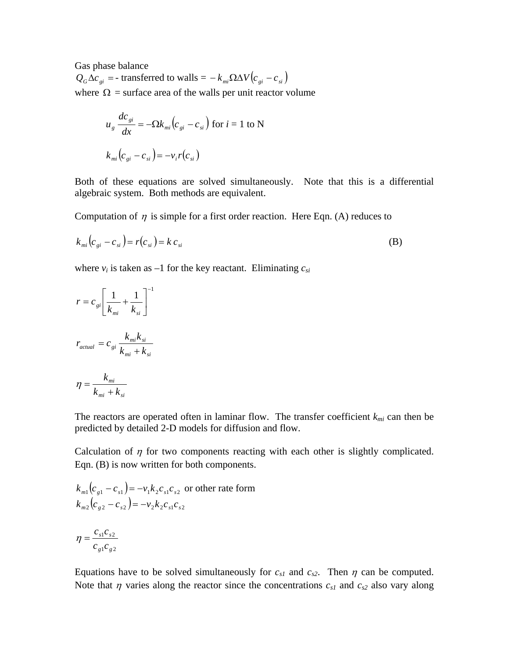Gas phase balance  $Q_G \Delta c_{ei}$  = - transferred to walls =  $-k_{mi} \Omega \Delta V (c_{ei} - c_{si})$ where  $\Omega$  = surface area of the walls per unit reactor volume

$$
u_g \frac{dc_{gi}}{dx} = -\Omega k_{mi} \left( c_{gi} - c_{si} \right) \text{ for } i = 1 \text{ to N}
$$

$$
k_{mi} \left( c_{gi} - c_{si} \right) = -v_i r \left( c_{si} \right)
$$

Both of these equations are solved simultaneously. Note that this is a differential algebraic system. Both methods are equivalent.

Computation of  $\eta$  is simple for a first order reaction. Here Eqn. (A) reduces to

$$
k_{mi}(c_{gi} - c_{si}) = r(c_{si}) = k c_{si}
$$
\n(B)

where  $v_i$  is taken as  $-1$  for the key reactant. Eliminating  $c_{si}$ 

$$
r = c_{gi} \left[ \frac{1}{k_{mi}} + \frac{1}{k_{si}} \right]^{-1}
$$

$$
r_{actual} = c_{gi} \frac{k_{mi}k_{si}}{k_{mi} + k_{si}}
$$

$$
\eta = \frac{k_{mi}}{k_{mi} + k_{si}}
$$

The reactors are operated often in laminar flow. The transfer coefficient  $k_{mi}$  can then be predicted by detailed 2-D models for diffusion and flow.

Calculation of  $\eta$  for two components reacting with each other is slightly complicated. Eqn. (B) is now written for both components.

$$
k_{m1}(c_{g1} - c_{s1}) = -v_1 k_2 c_{s1} c_{s2}
$$
 or other rate form  

$$
k_{m2}(c_{g2} - c_{s2}) = -v_2 k_2 c_{s1} c_{s2}
$$

$$
\eta = \frac{c_{s1} c_{s2}}{c_{g1} c_{g2}}
$$

Equations have to be solved simultaneously for  $c_{s1}$  and  $c_{s2}$ . Then  $\eta$  can be computed. Note that  $\eta$  varies along the reactor since the concentrations  $c_{s1}$  and  $c_{s2}$  also vary along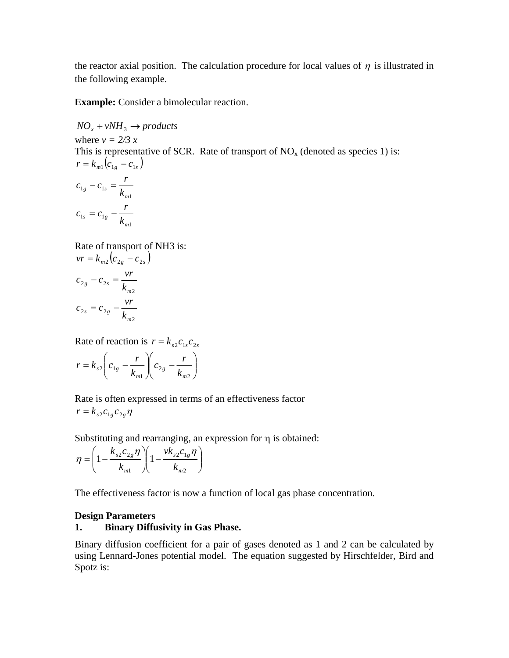the reactor axial position. The calculation procedure for local values of  $\eta$  is illustrated in the following example.

**Example:** Consider a bimolecular reaction.

This is representative of SCR. Rate of transport of  $NO<sub>x</sub>$  (denoted as species 1) is:  $NO<sub>x</sub> + vNH<sub>3</sub> \rightarrow products$ where  $v = 2/3 x$  $r = k_{m1} ( c_{1g} - c_{1s} )$ 1  $1g$   $\epsilon_1$  $e^{iS}$   $k_m$  $c_{1g} - c_{1s} = \frac{r}{l}$ 1  $1_s - c_1$  $c_{1s} = c_{1g} - \frac{r}{k_m}$ 

Rate of transport of NH3 is:  $vr = k_{m2} (c_{2g} - c_{2s})$ 2  $2g - c_2$  $\sum_{\text{g}}$   $-\frac{c_{2s}}{k_m}$  $c_{2g} - c_{2s} = \frac{vr}{f}$ 2  $2s - c_2$  $\int s^{1/2} \cdot k_m$  $c_{2s} = c_{2g} - \frac{vr}{l}$ 

Rate of reaction is  $r = k_{s2}c_1 c_2$ 

$$
r = k_{s2} \left( c_{1g} - \frac{r}{k_{m1}} \right) \left( c_{2g} - \frac{r}{k_{m2}} \right)
$$

Rate is often expressed in terms of an effectiveness factor  $r = k_{s2} c_{1g} c_{2g} \eta$ 

Substituting and rearranging, an expression for η is obtained:

$$
\eta = \left(1 - \frac{k_{s2}c_{2g}\eta}{k_{m1}}\right)\left(1 - \frac{vk_{s2}c_{1g}\eta}{k_{m2}}\right)
$$

The effectiveness factor is now a function of local gas phase concentration.

# **Design Parameters**

# **1. Binary Diffusivity in Gas Phase.**

Binary diffusion coefficient for a pair of gases denoted as 1 and 2 can be calculated by using Lennard-Jones potential model. The equation suggested by Hirschfelder, Bird and Spotz is: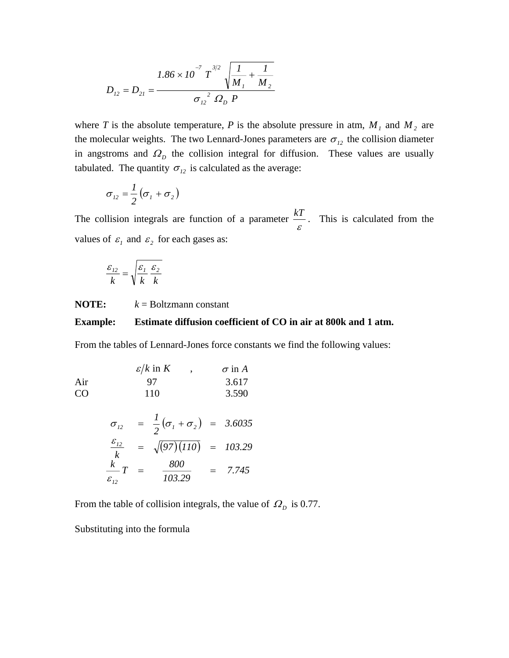$$
D_{12} = D_{21} = \frac{1.86 \times 10^{-7} \text{ T}^{3/2} \sqrt{\frac{1}{M_1} + \frac{1}{M_2}}}{\sigma_{12}^{2} \Omega_{D} P}
$$

where *T* is the absolute temperature, *P* is the absolute pressure in atm,  $M_1$  and  $M_2$  are the molecular weights. The two Lennard-Jones parameters are  $\sigma_{12}$  the collision diameter in angstroms and  $\Omega$ <sub>*D*</sub> the collision integral for diffusion. These values are usually tabulated. The quantity  $\sigma_{12}$  is calculated as the average:

$$
\sigma_{12}=\frac{1}{2}\left(\sigma_{1}+\sigma_{2}\right)
$$

The collision integrals are function of a parameter  $\frac{kT}{\varepsilon}$ . This is calculated from the values of  $\varepsilon_1$  and  $\varepsilon_2$  for each gases as:

$$
\frac{\varepsilon_{12}}{k} = \sqrt{\frac{\varepsilon_1}{k} \frac{\varepsilon_2}{k}}
$$

**NOTE:**  $k = \text{Boltzmann constant}$ 

#### **xample: Estimate diffusion coefficient of CO in air at 800k and 1 atm. Example:**

From the tables of Lennard-Jones force constants we find the following values:

| $\varepsilon/k$ in $K$ | , $\sigma$ in $A$ |       |
|------------------------|-------------------|-------|
| Air                    | 97                | 3.617 |
| CO                     | 110               | 3.590 |

$$
\sigma_{12} = \frac{1}{2} (\sigma_1 + \sigma_2) = 3.6035
$$
  
\n
$$
\frac{\varepsilon_{12}}{k} = \sqrt{(97)(110)} = 103.29
$$
  
\n
$$
\frac{k}{\varepsilon_{12}} T = \frac{800}{103.29} = 7.745
$$

From the table of collision integrals, the value of  $\Omega_{D}$  is 0.77.

Substituting into the formula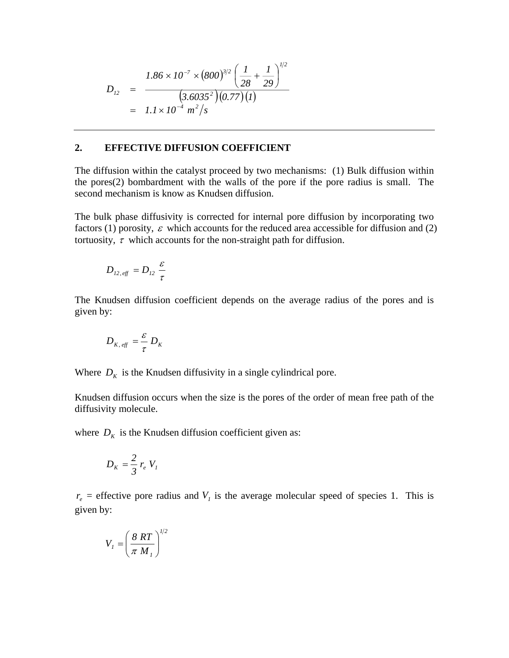$$
D_{12} = \frac{1.86 \times 10^{-7} \times (800)^{3/2} \left(\frac{1}{28} + \frac{1}{29}\right)^{1/2}}{(3.6035^2)(0.77)(1)}
$$
  
=  $1.1 \times 10^{-4} \frac{m^2}{s}$ 

## **2. EFFECTIVE DIFFUSION COEFFICIENT**

The diffusion within the catalyst proceed by two mechanisms: (1) Bulk diffusion within the pores(2) bombardment with the walls of the pore if the pore radius is small. The second mechanism is know as Knudsen diffusion.

The bulk phase diffusivity is corrected for internal pore diffusion by incorporating two factors (1) porosity,  $\varepsilon$  which accounts for the reduced area accessible for diffusion and (2) tortuosity,  $\tau$  which accounts for the non-straight path for diffusion.

$$
D_{12, \text{eff}} = D_{12} \frac{\varepsilon}{\tau}
$$

The Knudsen diffusion coefficient depends on the average radius of the pores and is given by:

$$
D_{K, \text{eff}} = \frac{\varepsilon}{\tau} D_K
$$

Where  $D_K$  is the Knudsen diffusivity in a single cylindrical pore.

Knudsen diffusion occurs when the size is the pores of the order of mean free path of the diffusivity molecule.

where  $D_K$  is the Knudsen diffusion coefficient given as:

$$
D_K = \frac{2}{3} r_e V_l
$$

 $r_e$  = effective pore radius and  $V_1$  is the average molecular speed of species 1. This is gi ven by:

$$
V_{I} = \left(\frac{8RT}{\pi M_{I}}\right)^{1/2}
$$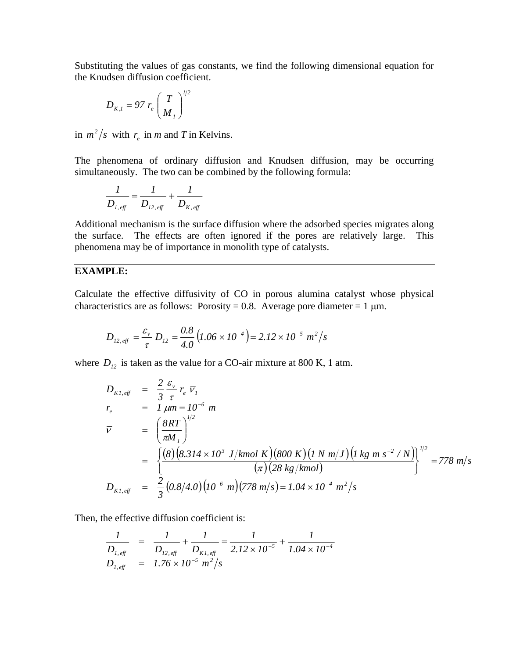Substituting the values of gas constants, we find the following dimensional equation for the Knudsen diffusion coefficient.

$$
D_{K,I} = 97 r_e \left(\frac{T}{M_I}\right)^{1/2}
$$

in  $m^2/s$  with  $r_e$  in *m* and *T* in Kelvins.

The phenomena of ordinary diffusion and Knudsen diffusion, may be occurring simultaneously. The two can be combined by the following formula:

$$
\frac{1}{D_{1, \text{eff}}} = \frac{1}{D_{12, \text{eff}}} + \frac{1}{D_{K, \text{eff}}}
$$

Additional mechanism is the surface diffusion where the adsorbed species migrates along the surface. The effects are often ignored if the pores are relatively large. This phenomena may be of importance in monolith type of catalysts.

# **EXAMPLE:**

Calculate the effective diffusivity of CO in porous alumina catalyst whose physical characteristics are as follows: Porosity = 0.8. Average pore diameter = 1  $\mu$ m.

$$
D_{12, \text{eff}} = \frac{\varepsilon_{\nu}}{\tau} D_{12} = \frac{0.8}{4.0} (1.06 \times 10^{-4}) = 2.12 \times 10^{-5} \text{ m}^2/\text{s}
$$

where  $D_{12}$  is taken as the value for a CO-air mixture at 800 K, 1 atm.

$$
D_{K1, eff} = \frac{2}{3} \frac{\varepsilon_{v}}{\tau} r_{e} \overline{v_{I}}
$$
  
\n
$$
r_{e} = I \mu m = 10^{-6} m
$$
  
\n
$$
\overline{v} = \left(\frac{8RT}{\pi M_{I}}\right)^{1/2}
$$
  
\n
$$
= \left\{\frac{(8)(8.314 \times 10^{3} J/kmol \text{ K})(800 \text{ K})(1 N m/J)(1 kg m s^{-2} / N))}{(\pi)(28 kg/kmol)}\right\}^{1/2} = 778 m/s
$$
  
\n
$$
D_{K1, eff} = \frac{2}{3} (0.8/4.0) (10^{-6} m)(778 m/s) = 1.04 \times 10^{-4} m^{2} / s
$$

Then, the effective diffusion coefficient is:

$$
\frac{1}{D_{1, \text{eff}}} = \frac{1}{D_{12, \text{eff}}} + \frac{1}{D_{K1, \text{eff}}} = \frac{1}{2.12 \times 10^{-5}} + \frac{1}{1.04 \times 10^{-4}}
$$
  

$$
D_{1, \text{eff}} = 1.76 \times 10^{-5} \text{ m}^2/\text{s}
$$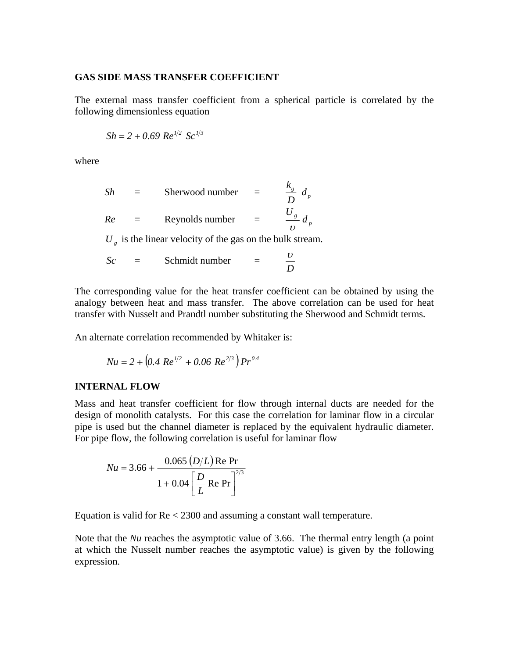## **GAS SIDE MASS TRANSFER COEFFICIENT**

The external mass transfer coefficient from a spherical particle is correlated by the following dimensionless equation

$$
Sh = 2 + 0.69 \; Re^{1/2} \; Sc^{1/3}
$$

where

| Sh      | Sherwood number                                        |  |
|---------|--------------------------------------------------------|--|
| Re      | Reynolds number                                        |  |
| $T$ $T$ | is the linear releater of the case on the bulls stream |  |

 $U_g$  is the linear velocity of the gas on the bulk stream.

$$
Sc = \text{Schmidt number } = \frac{U}{D}
$$

The corresponding value for the heat transfer coefficient can be obtained by using the analogy between heat and mass transfer. The above correlation can be used for heat transfer with Nusselt and Prandtl number substituting the Sherwood and Schmidt terms.

An alternate correlation recommended by Whitaker is:

$$
Nu = 2 + \left(0.4 \, Re^{1/2} + 0.06 \, Re^{2/3}\right) Pr^{0.4}
$$

## **INTERNAL FLOW**

Mass and heat transfer coefficient for flow through internal ducts are needed for the design of monolith catalysts. For this case the correlation for laminar flow in a circular pipe is used but the channel diameter is replaced by the equivalent hydraulic diameter. For pipe flow, the following correlation is useful for laminar flow

$$
Nu = 3.66 + \frac{0.065 (D/L) \text{Re Pr}}{1 + 0.04 \left[ \frac{D}{L} \text{Re Pr} \right]^{2/3}}
$$

Equation is valid for Re < 2300 and assuming a constant wall temperature.

Note that the *Nu* reaches the asymptotic value of 3.66. The thermal entry length (a point at which the Nusselt number reaches the asymptotic value) is given by the following expression.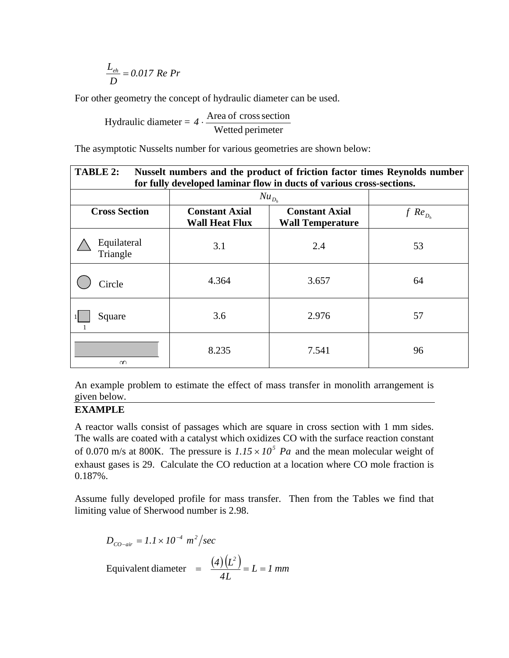$$
\frac{L_{eh}}{D} = 0.017 \text{ Re } Pr
$$

For other geometry the concept of hydraulic diameter can be used.

Hydraulic diameter = Wetted perimeter 4 · Area of cross section

The asymptotic Nusselts number for various geometries are shown below:

| TABLE 2:<br>Nusselt numbers and the product of friction factor times Reynolds number<br>for fully developed laminar flow in ducts of various cross-sections. |                                                |                                                  |                |  |  |  |
|--------------------------------------------------------------------------------------------------------------------------------------------------------------|------------------------------------------------|--------------------------------------------------|----------------|--|--|--|
|                                                                                                                                                              | $Nu_{D_h}$                                     |                                                  |                |  |  |  |
| <b>Cross Section</b>                                                                                                                                         | <b>Constant Axial</b><br><b>Wall Heat Flux</b> | <b>Constant Axial</b><br><b>Wall Temperature</b> | $f$ $Re_{D_h}$ |  |  |  |
| Equilateral<br>Triangle                                                                                                                                      | 3.1                                            | 2.4                                              | 53             |  |  |  |
| Circle                                                                                                                                                       | 4.364                                          | 3.657                                            | 64             |  |  |  |
| Square                                                                                                                                                       | 3.6                                            | 2.976                                            | 57             |  |  |  |
| $\infty$                                                                                                                                                     | 8.235                                          | 7.541                                            | 96             |  |  |  |

An example problem to estimate the effect of mass transfer in monolith arrangement is given below.

## **EXAMPLE**

A reactor walls consist of passages which are square in cross section with 1 mm sides. The walls are coated with a catalyst which oxidizes CO with the surface reaction constant of 0.070 m/s at 800K. The pressure is  $1.15 \times 10^5$  Pa and the mean molecular weight of exhaust gases is 29. Calculate the CO reduction at a location where CO mole fraction is 0.187%.

Assume fully developed profile for mass transfer. Then from the Tables we find that limiting value of Sherwood number is 2.98.

$$
D_{CO-air} = 1.1 \times 10^{-4} \text{ m}^2/\text{sec}
$$
  
Equivalent diameter  $=$   $\frac{(4)(L^2)}{4L} = L = 1 \text{ mm}$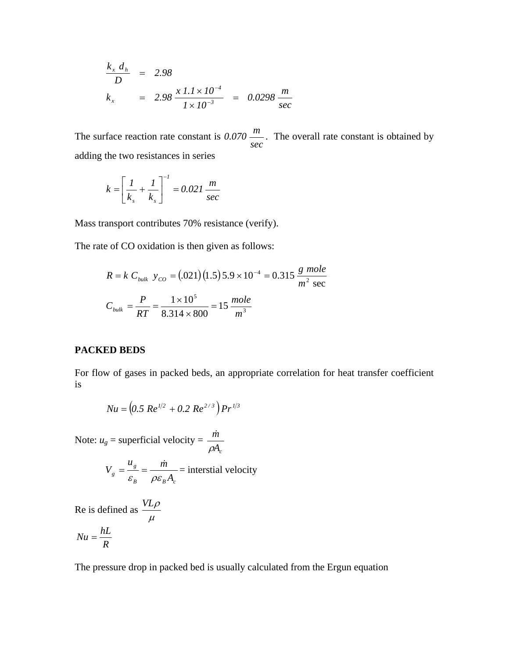$$
\frac{k_x d_h}{D} = 2.98
$$
\n
$$
k_x = 2.98 \frac{x l.1 \times 10^{-4}}{1 \times 10^{-3}} = 0.0298 \frac{m}{\text{sec}}
$$

The surface reaction rate constant is *sec*  $0.070 \frac{m}{m}$ . The overall rate constant is obtained by adding the two resistances in series

$$
k = \left[\frac{1}{k_s} + \frac{1}{k_s}\right]^{-1} = 0.021 \frac{m}{sec}
$$

Mass transport contributes 70% resistance (verify).

The rate of CO oxidation is then given as follows:

$$
R = k \ C_{bulk} \ y_{CO} = (.021)(1.5)5.9 \times 10^{-4} = 0.315 \ \frac{g \ mole}{m^2 \ \text{sec}}
$$

$$
C_{bulk} = \frac{P}{RT} = \frac{1 \times 10^5}{8.314 \times 800} = 15 \ \frac{mole}{m^3}
$$

## **PACKED BEDS**

For flow of gases in packed beds, an appropriate correlation for heat transfer coefficient is

$$
Nu = (0.5 \, Re^{1/2} + 0.2 \, Re^{2/3}) Pr^{1/3}
$$

Note:  $u_g$  = superficial velocity =  $\frac{\dot{m}}{\rho A_c}$ ρ  $\dot{r}$ 

$$
V_g = \frac{u_g}{\varepsilon_B} = \frac{\dot{m}}{\rho \varepsilon_B A_c}
$$
 = interstial velocity

Re is defined as  $\mu$ *VL*<sup>ρ</sup>

$$
Nu = \frac{hL}{R}
$$

The pressure drop in packed bed is usually calculated from the Ergun equation